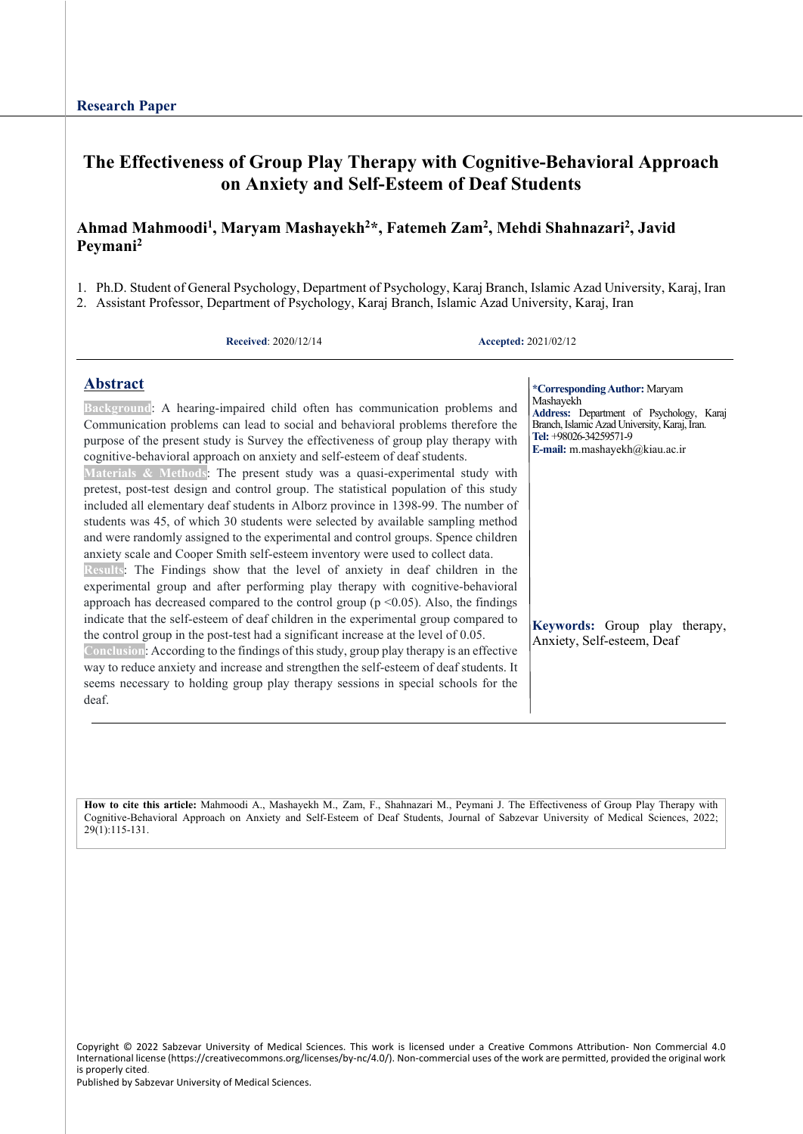# **The Effectiveness of Group Play Therapy with Cognitive-Behavioral Approach on Anxiety and Self-Esteem of Deaf Students**

#### **Ahmad Mahmoodi1 , Maryam Mashayekh2 \*, Fatemeh Zam2 , Mehdi Shahnazari2 , Javid Peymani2**

- 1. Ph.D. Student of General Psychology, Department of Psychology, Karaj Branch, Islamic Azad University, Karaj, Iran
- 2. Assistant Professor, Department of Psychology, Karaj Branch, Islamic Azad University, Karaj, Iran

**Received**: 2020/12/14 **Accepted:** 2021/02/12

**\*CorrespondingAuthor:** Maryam

#### **Abstract**

deaf.

**Background**: A hearing-impaired child often has communication problems and Communication problems can lead to social and behavioral problems therefore the purpose of the present study is Survey the effectiveness of group play therapy with cognitive-behavioral approach on anxiety and self-esteem of deaf students. **Materials & Methods**: The present study was a quasi-experimental study with pretest, post-test design and control group. The statistical population of this study included all elementary deaf students in Alborz province in 1398-99. The number of students was 45, of which 30 students were selected by available sampling method and were randomly assigned to the experimental and control groups. Spence children anxiety scale and Cooper Smith self-esteem inventory were used to collect data. **Results**: The Findings show that the level of anxiety in deaf children in the experimental group and after performing play therapy with cognitive-behavioral approach has decreased compared to the control group ( $p$  <0.05). Also, the findings indicate that the self-esteem of deaf children in the experimental group compared to the control group in the post-test had a significant increase at the level of 0.05. **Conclusion**: According to the findings of this study, group play therapy is an effective way to reduce anxiety and increase and strengthen the self-esteem of deaf students. It seems necessary to holding group play therapy sessions in special schools for the Mashayekh **Address:** Department of Psychology, Karaj Branch, Islamic Azad University, Karaj, Iran. **Tel:** +98026-34259571-9 **E-mail:** m.mashayekh@kiau.ac.ir **Keywords:** Group play therapy, Anxiety, Self-esteem, Deaf

**How to cite this article:** Mahmoodi A., Mashayekh M., Zam, F., Shahnazari M., Peymani J. The Effectiveness of Group Play Therapy with Cognitive-Behavioral Approach on Anxiety and Self-Esteem of Deaf Students, Journal of Sabzevar University of Medical Sciences, 2022; 29(1):115-131.

Copyright © 2022 Sabzevar University of Medical Sciences. This work is licensed under a Creative Commons Attribution- Non Commercial 4.0 International license (https://creativecommons.org/licenses/by-nc/4.0/). Non-commercial uses of the work are permitted, provided the original work is properly cited.

Published by Sabzevar University of Medical Sciences.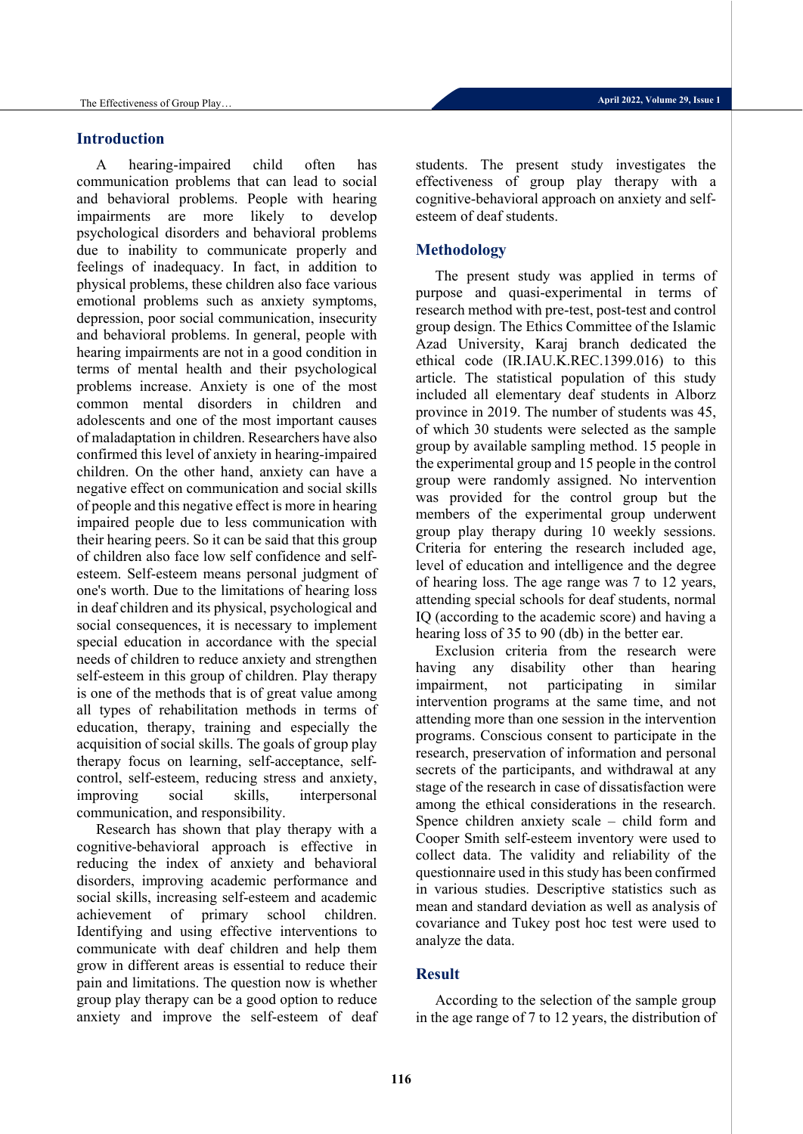#### **Introduction**

A hearing-impaired child often has communication problems that can lead to social and behavioral problems. People with hearing impairments are more likely to develop psychological disorders and behavioral problems due to inability to communicate properly and feelings of inadequacy. In fact, in addition to physical problems, these children also face various emotional problems such as anxiety symptoms, depression, poor social communication, insecurity and behavioral problems. In general, people with hearing impairments are not in a good condition in terms of mental health and their psychological problems increase. Anxiety is one of the most common mental disorders in children and adolescents and one of the most important causes of maladaptation in children. Researchers have also confirmed this level of anxiety in hearing-impaired children. On the other hand, anxiety can have a negative effect on communication and social skills of people and this negative effect is more in hearing impaired people due to less communication with their hearing peers. So it can be said that this group of children also face low self confidence and selfesteem. Self-esteem means personal judgment of one's worth. Due to the limitations of hearing loss in deaf children and its physical, psychological and social consequences, it is necessary to implement special education in accordance with the special needs of children to reduce anxiety and strengthen self-esteem in this group of children. Play therapy is one of the methods that is of great value among all types of rehabilitation methods in terms of education, therapy, training and especially the acquisition of social skills. The goals of group play therapy focus on learning, self-acceptance, selfcontrol, self-esteem, reducing stress and anxiety, improving social skills, interpersonal communication, and responsibility.

Research has shown that play therapy with a cognitive-behavioral approach is effective in reducing the index of anxiety and behavioral disorders, improving academic performance and social skills, increasing self-esteem and academic achievement of primary school children. Identifying and using effective interventions to communicate with deaf children and help them grow in different areas is essential to reduce their pain and limitations. The question now is whether group play therapy can be a good option to reduce anxiety and improve the self-esteem of deaf students. The present study investigates the effectiveness of group play therapy with a cognitive-behavioral approach on anxiety and selfesteem of deaf students.

#### **Methodology**

The present study was applied in terms of purpose and quasi-experimental in terms of research method with pre-test, post-test and control group design. The Ethics Committee of the Islamic Azad University, Karaj branch dedicated the ethical code (IR.IAU.K.REC.1399.016) to this article. The statistical population of this study included all elementary deaf students in Alborz province in 2019. The number of students was 45, of which 30 students were selected as the sample group by available sampling method. 15 people in the experimental group and 15 people in the control group were randomly assigned. No intervention was provided for the control group but the members of the experimental group underwent group play therapy during 10 weekly sessions. Criteria for entering the research included age, level of education and intelligence and the degree of hearing loss. The age range was 7 to 12 years, attending special schools for deaf students, normal IQ (according to the academic score) and having a hearing loss of 35 to 90 (db) in the better ear.

Exclusion criteria from the research were having any disability other than hearing impairment, not participating in similar intervention programs at the same time, and not attending more than one session in the intervention programs. Conscious consent to participate in the research, preservation of information and personal secrets of the participants, and withdrawal at any stage of the research in case of dissatisfaction were among the ethical considerations in the research. Spence children anxiety scale – child form and Cooper Smith self-esteem inventory were used to collect data. The validity and reliability of the questionnaire used in this study has been confirmed in various studies. Descriptive statistics such as mean and standard deviation as well as analysis of covariance and Tukey post hoc test were used to analyze the data.

#### **Result**

According to the selection of the sample group in the age range of 7 to 12 years, the distribution of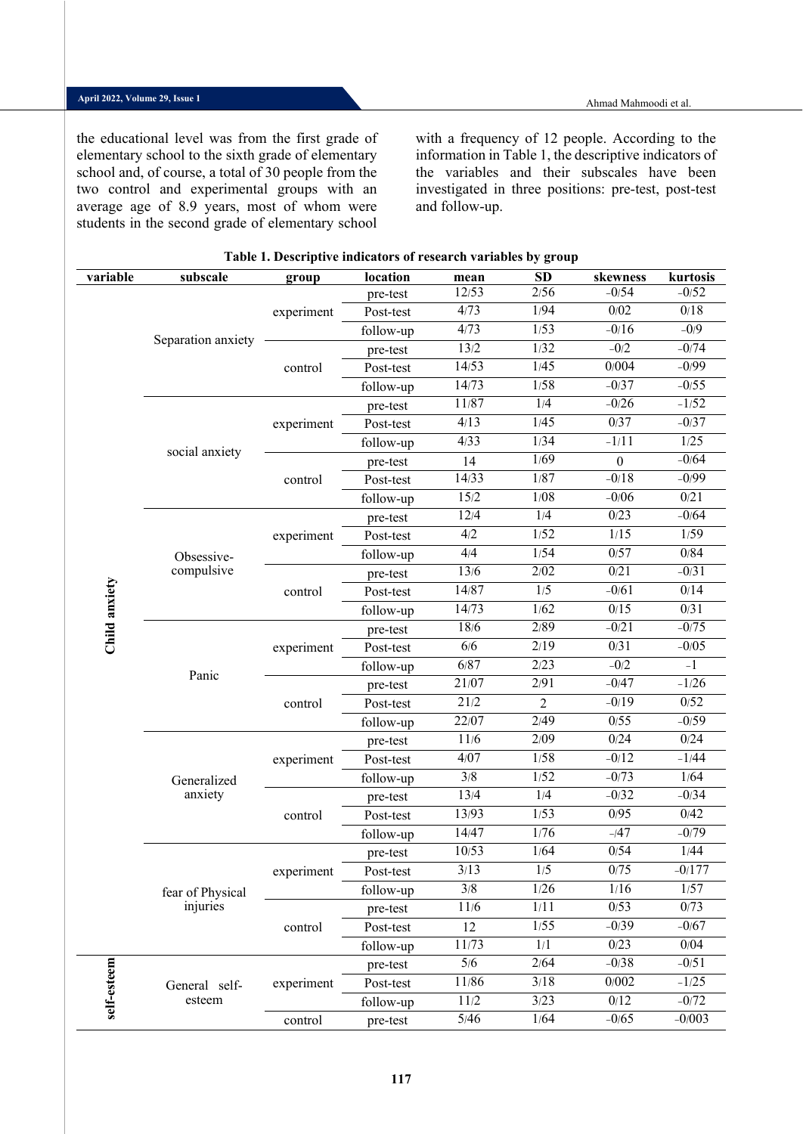the educational level was from the first grade of elementary school to the sixth grade of elementary school and, of course, a total of 30 people from the two control and experimental groups with an average age of 8.9 years, most of whom were students in the second grade of elementary school with a frequency of 12 people. According to the information in Table 1, the descriptive indicators of the variables and their subscales have been investigated in three positions: pre-test, post-test and follow-up.

| variable      | subscale           | group      | location  | mean   | SD             | skewness          | kurtosis |
|---------------|--------------------|------------|-----------|--------|----------------|-------------------|----------|
|               |                    |            | pre-test  | 12/53  | 2/56           | $-0/54$           | $-0/52$  |
|               |                    | experiment | Post-test | 4/73   | 1/94           | 0/02              | $0/18$   |
|               |                    |            | follow-up | 4/73   | 1/53           | $-0/16$           | $-0/9$   |
|               | Separation anxiety |            | pre-test  | 13/2   | 1/32           | $-0/2$            | $-0/74$  |
|               |                    | control    | Post-test | 14/53  | 1/45           | 0/004             | $-0/99$  |
|               |                    |            | follow-up | 14/73  | 1/58           | $-0/37$           | $-0/55$  |
|               |                    |            | pre-test  | 11/87  | 1/4            | $-0/26$           | $-1/52$  |
|               |                    | experiment | Post-test | 4/13   | 1/45           | 0/37              | $-0/37$  |
|               | social anxiety     |            | follow-up | 4/33   | 1/34           | $-1/11$           | 1/25     |
|               |                    |            | pre-test  | 14     | 1/69           | $\boldsymbol{0}$  | $-0/64$  |
|               |                    | control    | Post-test | 14/33  | 1/87           | $-0/18$           | $-0/99$  |
|               |                    |            | follow-up | 15/2   | 1/08           | $-0/06$           | 0/21     |
|               |                    |            | pre-test  | 12/4   | 1/4            | 0/23              | $-0/64$  |
|               |                    | experiment | Post-test | 4/2    | 1/52           | 1/15              | 1/59     |
|               | Obsessive-         |            | follow-up | 4/4    | 1/54           | 0/57              | 0/84     |
|               | compulsive         |            | pre-test  | 13/6   | 2/02           | $\overline{0/21}$ | $-0/31$  |
|               |                    | control    | Post-test | 14/87  | 1/5            | $-0/61$           | 0/14     |
|               |                    |            | follow-up | 14/73  | 1/62           | $0/15$            | 0/31     |
| Child anxiety |                    |            | pre-test  | 18/6   | 2/89           | $-0/21$           | $-0/75$  |
|               |                    | experiment | Post-test | $6/6$  | 2/19           | 0/31              | $-0/05$  |
|               | Panic              |            | follow-up | 6/87   | 2/23           | $-0/2$            | $-1$     |
|               |                    |            | pre-test  | 21/07  | 2/91           | $-0/47$           | $-1/26$  |
|               |                    | control    | Post-test | 21/2   | $\overline{2}$ | $-0/19$           | 0/52     |
|               |                    |            | follow-up | 22/07  | 2/49           | 0/55              | $-0/59$  |
|               |                    |            | pre-test  | $11/6$ | 2/09           | 0/24              | 0/24     |
|               |                    | experiment | Post-test | 4/07   | 1/58           | $-0/12$           | $-1/44$  |
|               | Generalized        |            | follow-up | 3/8    | 1/52           | $-0/73$           | 1/64     |
|               | anxiety            |            | pre-test  | 13/4   | 1/4            | $-0/32$           | $-0/34$  |
|               |                    | control    | Post-test | 13/93  | 1/53           | 0/95              | 0/42     |
|               |                    |            | follow-up | 14/47  | 1/76           | $-147$            | $-0/79$  |
|               |                    |            | pre-test  | 10/53  | 1/64           | 0/54              | 1/44     |
|               |                    | experiment | Post-test | 3/13   | $1/5$          | $0/75$            | $-0/177$ |
|               | fear of Physical   |            | follow-up | 3/8    | 1/26           | 1/16              | 1/57     |
|               | injuries           |            | pre-test  | 11/6   | 1/11           | 0/53              | 0/73     |
|               |                    | control    | Post-test | 12     | 1/55           | $-0/39$           | $-0/67$  |
|               |                    |            | follow-up | 11/73  | 1/1            | 0/23              | 0/04     |
|               |                    |            | pre-test  | 5/6    | 2/64           | $-0/38$           | $-0/51$  |
| self-esteem   | General self-      | experiment | Post-test | 11/86  | 3/18           | 0/002             | $-1/25$  |
|               | esteem             |            | follow-up | 11/2   | 3/23           | $0/12$            | $-0/72$  |
|               |                    | control    | pre-test  | 5/46   | 1/64           | $-0/65$           | $-0/003$ |

#### **Table 1. Descriptive indicators of research variables by group**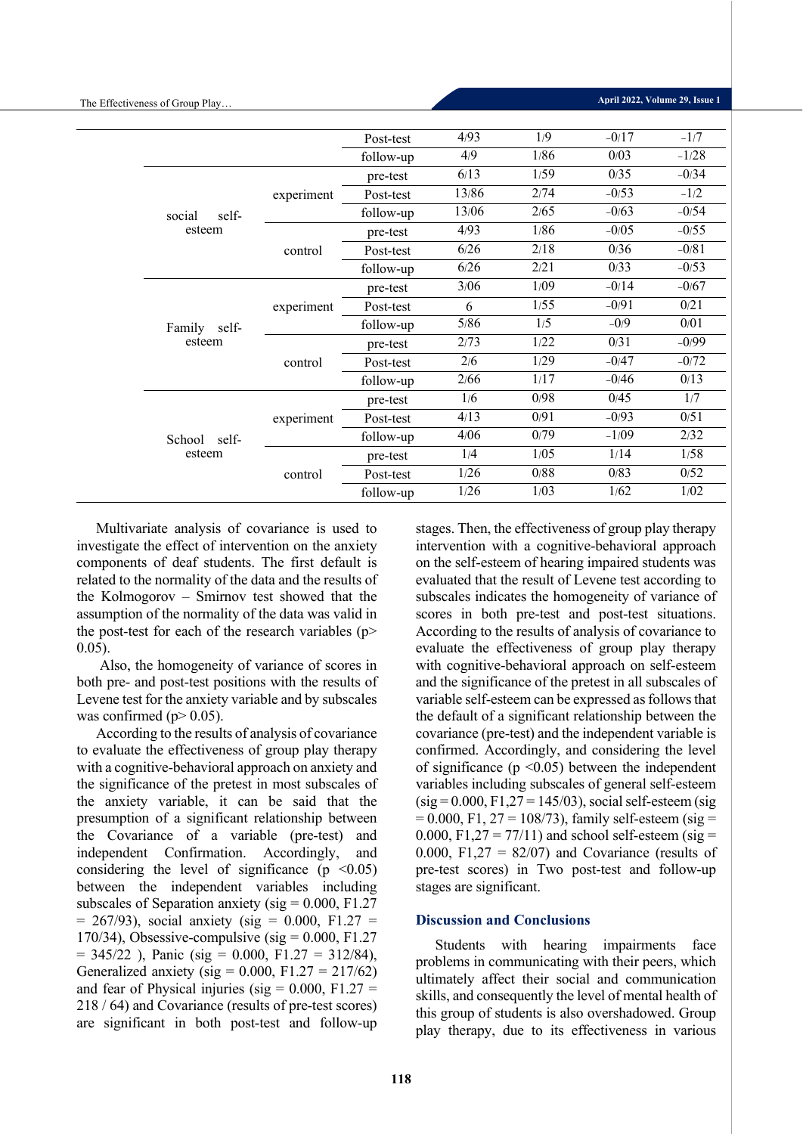|                 |            | Post-test | 4/93   | 1/9  | $-0/17$ | $-1/7$  |
|-----------------|------------|-----------|--------|------|---------|---------|
|                 |            | follow-up | 4/9    | 1/86 | 0/03    | $-1/28$ |
|                 |            | pre-test  | 6/13   | 1/59 | 0/35    | $-0/34$ |
|                 | experiment | Post-test | 13/86  | 2/74 | $-0/53$ | $-1/2$  |
| self-<br>social |            | follow-up | 13/06  | 2/65 | $-0/63$ | $-0/54$ |
| esteem          |            | pre-test  | 4/93   | 1/86 | $-0/05$ | $-0/55$ |
|                 | control    | Post-test | 6/26   | 2/18 | 0/36    | $-0/81$ |
|                 |            | follow-up | 6/26   | 2/21 | 0/33    | $-0/53$ |
|                 |            | pre-test  | 3/06   | 1/09 | $-0/14$ | $-0/67$ |
|                 | experiment | Post-test | 6      | 1/55 | $-0/91$ | 0/21    |
| Family self-    |            | follow-up | $5/86$ | 1/5  | $-0/9$  | 0/01    |
| esteem          |            | pre-test  | 2/73   | 1/22 | 0/31    | $-0/99$ |
|                 | control    | Post-test | 2/6    | 1/29 | $-0/47$ | $-0/72$ |
|                 |            | follow-up | 2/66   | 1/17 | $-0/46$ | 0/13    |
|                 |            | pre-test  | 1/6    | 0/98 | 0/45    | 1/7     |
|                 | experiment | Post-test | 4/13   | 0/91 | $-0/93$ | 0/51    |
| School self-    |            | follow-up | 4/06   | 0/79 | $-1/09$ | 2/32    |
| esteem          |            |           | 1/4    | 1/05 | 1/14    | 1/58    |
|                 | control    | Post-test | 1/26   | 0/88 | 0/83    | 0/52    |
|                 |            | follow-up | 1/26   | 1/03 | 1/62    | 1/02    |

Multivariate analysis of covariance is used to investigate the effect of intervention on the anxiety components of deaf students. The first default is related to the normality of the data and the results of the Kolmogorov – Smirnov test showed that the assumption of the normality of the data was valid in the post-test for each of the research variables ( $p$ > 0.05).

Also, the homogeneity of variance of scores in both pre- and post-test positions with the results of Levene test for the anxiety variable and by subscales was confirmed ( $p > 0.05$ ).

According to the results of analysis of covariance to evaluate the effectiveness of group play therapy with a cognitive-behavioral approach on anxiety and the significance of the pretest in most subscales of the anxiety variable, it can be said that the presumption of a significant relationship between the Covariance of a variable (pre-test) and independent Confirmation. Accordingly, and considering the level of significance ( $p \leq 0.05$ ) between the independent variables including subscales of Separation anxiety ( $sig = 0.000$ , F1.27  $= 267/93$ , social anxiety (sig  $= 0.000,$  F1.27  $=$ 170/34), Obsessive-compulsive (sig =  $0.000$ , F1.27  $= 345/22$ ), Panic (sig  $= 0.000$ , F1.27  $= 312/84$ ), Generalized anxiety (sig =  $0.000$ , F1.27 = 217/62) and fear of Physical injuries (sig  $= 0.000$ , F1.27  $=$ 218 / 64) and Covariance (results of pre-test scores) are significant in both post-test and follow-up

stages. Then, the effectiveness of group play therapy intervention with a cognitive-behavioral approach on the self-esteem of hearing impaired students was evaluated that the result of Levene test according to subscales indicates the homogeneity of variance of scores in both pre-test and post-test situations. According to the results of analysis of covariance to evaluate the effectiveness of group play therapy with cognitive-behavioral approach on self-esteem and the significance of the pretest in all subscales of variable self-esteem can be expressed as follows that the default of a significant relationship between the covariance (pre-test) and the independent variable is confirmed. Accordingly, and considering the level of significance ( $p \le 0.05$ ) between the independent variables including subscales of general self-esteem  $(sig = 0.000, F1, 27 = 145/03)$ , social self-esteem (sig  $= 0.000$ , F1, 27 = 108/73), family self-esteem (sig = 0.000, F1,27 = 77/11) and school self-esteem (sig = 0.000, F1,27 =  $82/07$ ) and Covariance (results of pre-test scores) in Two post-test and follow-up stages are significant.

#### **Discussion and Conclusions**

Students with hearing impairments face problems in communicating with their peers, which ultimately affect their social and communication skills, and consequently the level of mental health of this group of students is also overshadowed. Group play therapy, due to its effectiveness in various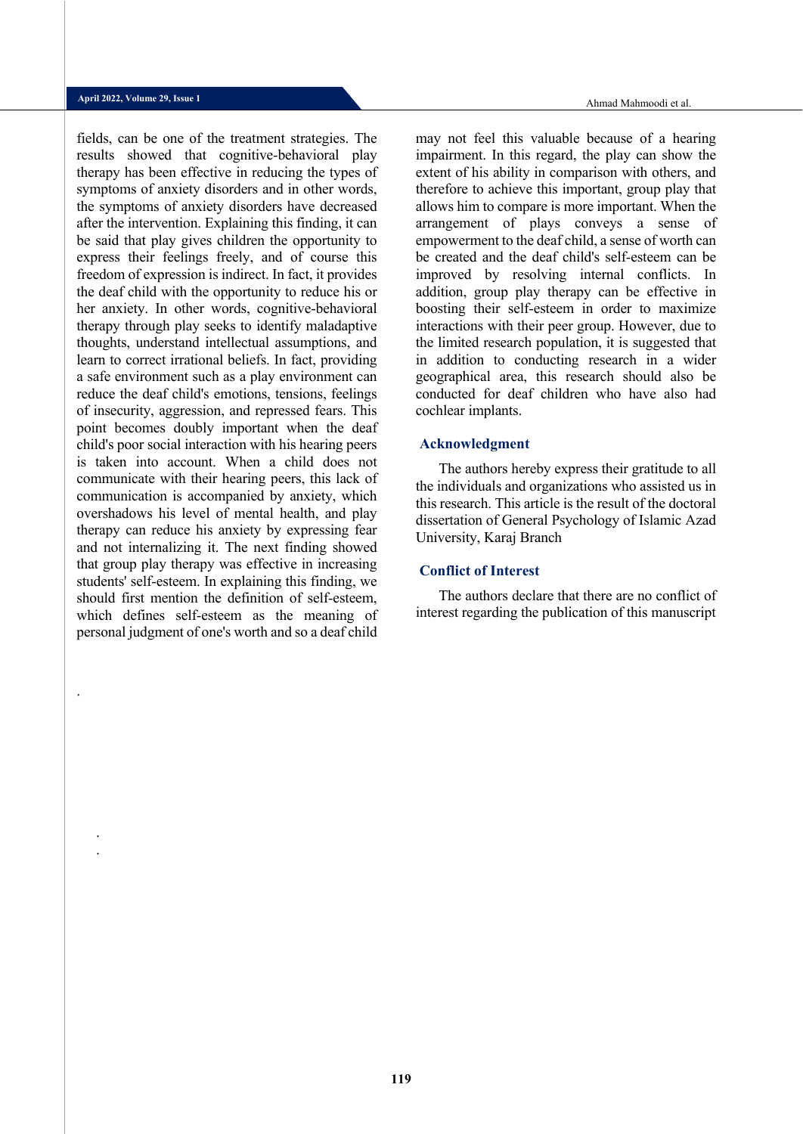.

. .

fields, can be one of the treatment strategies. The results showed that cognitive-behavioral play therapy has been effective in reducing the types of symptoms of anxiety disorders and in other words, the symptoms of anxiety disorders have decreased after the intervention. Explaining this finding, it can be said that play gives children the opportunity to express their feelings freely, and of course this freedom of expression is indirect. In fact, it provides the deaf child with the opportunity to reduce his or her anxiety. In other words, cognitive-behavioral therapy through play seeks to identify maladaptive thoughts, understand intellectual assumptions, and learn to correct irrational beliefs. In fact, providing a safe environment such as a play environment can reduce the deaf child's emotions, tensions, feelings of insecurity, aggression, and repressed fears. This point becomes doubly important when the deaf child's poor social interaction with his hearing peers is taken into account. When a child does not communicate with their hearing peers, this lack of communication is accompanied by anxiety, which overshadows his level of mental health, and play therapy can reduce his anxiety by expressing fear and not internalizing it. The next finding showed that group play therapy was effective in increasing students' self-esteem. In explaining this finding, we should first mention the definition of self-esteem, which defines self-esteem as the meaning of personal judgment of one's worth and so a deaf child

may not feel this valuable because of a hearing impairment. In this regard, the play can show the extent of his ability in comparison with others, and therefore to achieve this important, group play that allows him to compare is more important. When the arrangement of plays conveys a sense of empowerment to the deaf child, a sense of worth can be created and the deaf child's self-esteem can be improved by resolving internal conflicts. In addition, group play therapy can be effective in boosting their self-esteem in order to maximize interactions with their peer group. However, due to the limited research population, it is suggested that in addition to conducting research in a wider geographical area, this research should also be conducted for deaf children who have also had cochlear implants.

#### **Acknowledgment**

The authors hereby express their gratitude to all the individuals and organizations who assisted us in this research. This article is the result of the doctoral dissertation of General Psychology of Islamic Azad University, Karaj Branch

#### **Conflict of Interest**

The authors declare that there are no conflict of interest regarding the publication of this manuscript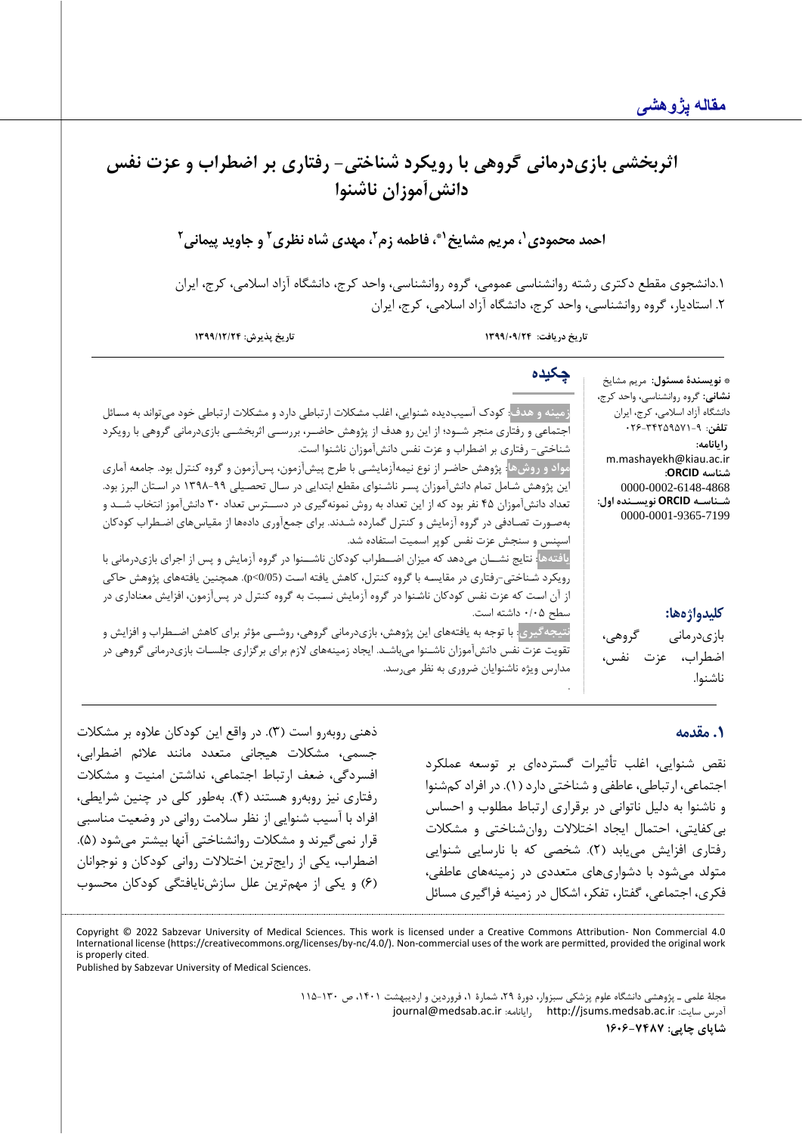# **اثربخش ی باز ی درمانی گروه ی با رو یکرد شناخت ی - رفتار ی بر اضطراب و عزت نفس دانش آموزان ناشنوا**

**1 احمد محمودی ، مریم مشایخ 2 و جاوید پیمانی <sup>2</sup> ، مهدی شاه نظر ی <sup>2</sup> ، فاطمه زم 1\***

.1دانشجوی مقطع دکتری رشته روانشناسی عمومی، گروه روانشناسی، واحد کرج، دانشگاه آزاد اسالمی، کرج، ایران .2 استادیار، گروه روانشناسی، واحد کرج، دانشگاه آزاد اسالمی، کرج، ایران

**تاریخ دریافت: /09/24 1399 تاریخ پذیرش: 1399/12/24**

**چکیده**

**زمینه ل هدف**: کودک آسـیبدیده شـنوایی، اغلب مشـکالت ارتباطی دارد و مشـکالت ارتباطی خود میتواند به مسـائل اجتماعی و رفتاری منجر شــودا از این رو هدا از پژوهش حاضــر، بررســی اثربخشــی بازیدرمانی گروهی با رویکرد شناختی- رفتاری بر اضطراب و عزت نفس دانشآموزان ناشنوا است.

مواد و روشها<mark>: پژوهش حاضـر</mark> از نوع نیمهآزمایشـی با طرح پیشآزمون، پسآزمون و گروه کنترل بود. جامعه آماری این پژوهش شـامل تمام دانشآموزان پسـر ناشـنوای مقطع ابتدایی در سـال تحصـیلی 1398-99 در اسـتان البرز بود. تعداد دانشآموزان 45 نفر بود که از این تعداد به روش نمونهگیری در دســترس تعداد 30 دانشآموز انتخاب شــد و بهصـورت تصـادفی در گروه آزمایش و کنترل گمارده شـدند. برای جمعآوری دادهها از مقیاسهای اضـطراب کودکان اسپنس و سنجش عزت نفس کوپر اسمیت استفاده شد.

**یافتهها**: نتایج نشــان میدهد که میزان اضــطراب کودکان ناشــنوا در گروه آزمایش و پس از اجرای بازیدرمانی با رویکرد شـناختی-رفتاری در مقایسـه با گروه کنترل، کاهش یافته اسـت )0/05>p). همچنین یافتههای پژوهش حاکی از آن اسـت که عزت نفس کودکان ناشـنوا در گروه آزمایش نسـبت به گروه کنترل در پسآزمون، افزایش معناداری در سطح ۰/۰۵ داشته است.

**نتیجهگیری**: با توجه به یافتههای این پژوهش، بازیدرمانی گروهی، روشــی مرثر برای کاهش اضــطراب و افزایش و تقویت عزت نفس دانشآموزان ناشـنوا میباشـد. ایجاد زمینههای الزم برای برگزاری جلسـات بازیدرمانی گروهی در مدارس ویژه ناشنوایان ضروری به نظر میرسد.

# **کلیدواژهها:**

**رایانامه:**

**شناسه ORCID:** [0000-0002-6148-4868](https://orcid.org/0000-0002-6148-4868) **شنناسنه ORCID نویسنند الل:** 0000-0001-9365-7199

بازی درمانی گروهی، اضطراب، عزت نفس، ناشنوا.

\* **نویسندة مسئول:** مریم مشا یخ <mark>نشانی:</mark> گروه روانشناسی، واحد کرج، دانشگاه آزاد اسالم ی، کرج، ایران **تلفن**: 026-34259571-9

m.mashayekh@kiau.ac.ir

#### **.1 مقدمه**

نقص شنوایی، اغلب تأثیرات گستردهای بر توسعه عملکرد اجتماعی، ارتباطی، عاطفی و شناختی دارد )1(. در افراد کمشنوا و ناشنوا به دلیل ناتوانی در برقراری ارتباط مطلوب و احساس بی کفایتی، احتمال ایجاد اختالالت روانشناختی و مشکالت رفتاری افزایش می یابد )2(. شخصی که با نارسایی شنوایی متولد می شود با دشواری های متعددی در زمینههای عاطفی، فکری، اجتماعی، گفتار، تفکر، اشکال در زمینه فراگیری مسائل

.

ذهنی روبهرو است )3(. در واقع این کودکان عالوه بر مشکالت جسمی، مشکالت هیجانی متعدد مانند عالئم اضطرابی، افسردگی، ضعف ارتباط اجتماعی، نداشتن امنیت و مشکالت رفتاری نیز روبه رو هستند )4(. به طور کلی در چنین شرایطی، افراد با آسیب شنوایی از نظر سالمت روانی در وضعیت مناسبی قرار نمی گیرند و مشکلات روانشناختی آنها بیشتر می شود (۵). اضطراب، یکی از رایجترین اختالال ت روانی کودکان و نوجوانان )6( و یکی از مهمترین علل سازشنایافتگی کودکان محسوب

Copyright © 2022 Sabzevar University of Medical Sciences. This work is licensed under a Creative Commons Attribution- Non Commercial 4.0 International license (https://creativecommons.org/licenses/by-nc/4.0/). Non-commercial uses of the work are permitted, provided the original work is properly cited.

Published by Sabzevar University of Medical Sciences.

مجلة علمی ـ پژوهشی دانشگاه علوم پزشکی سبزوار، دورة ،29 شمارة ،1 فروردین و اردیبهشت ،1401 ص 115-130 [journal@medsab.ac.ir](mailto:journal@medsab.ac.ir) :رایانامه [http://jsums.medsab.ac.ir](http://jsums.medsab.ac.ir/) :سایت آدرس **شاپای چاپی: 1606-7487**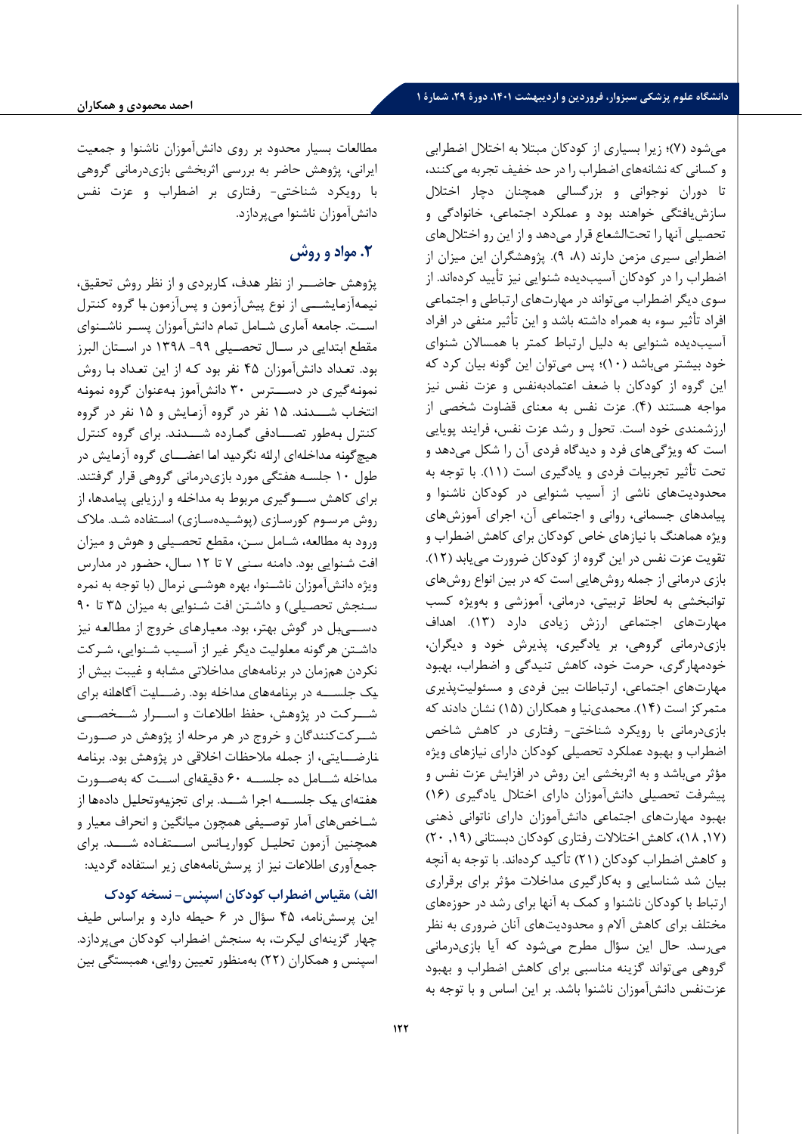می شود )7(ا زیرا بسیاری از کودکان مبتال به اختالل اضطرابی و کسانی که نشانههای اضطراب را در حد خفیف تجربه می کنند، تا دوران نوجوانی و بزرگسالی همچنان دچار اختالل سازشیافتگی خواهند بود و عملکرد اجتماعی، خانوادگی و تحصیلی آنها را تحتالشعا قرار میدهد و از این رو اختاللهای اضطرابی سیری مزمن دارند (۸، ۹). پژوهشگران این میزان از اضطراب را در کودکان آسیب دیده شنوایی نیز تأیید کرده اند. از سوی دیگر اضطراب میتواند در مهارتهای ارتباطی و اجتماعی افراد تأثیر سوء به همراه داشته باشد و این تأثیر منفی در افراد آسیب دیده شنوایی به دلیل ارتباط کمتر با همساالن شنوای خود بیشتر می باشد )10(ا پس میتوان این گونه بیان کرد که این گروه از کودکان با ضعف اعتمادبهنفس و عزت نفس نیز مواجه هستند ) 4(. عزت نفس به معنای قضاوت شخصی از ارزشمندی خود است. تحول و رشد عزت نفس، فرایند پویایی است که ویژگی های فرد و دیدگاه فردی آن را شکل می دهد و تحت تأثیر تجربیات فردی و یادگیری است )11(. با توجه به محدودیتهای ناشی از آسیب شنوایی در کودکان ناشنوا و پیامدهای جسمانی، روانی و اجتماعی آن، اجرای آموزشهای ویژه هماهنگ با نیازهای خاص کودکان برای کاهش اضطراب و تقویت عزت نفس در این گروه از کودکان ضرورت می یابد )12(. بازی درمانی از جمله روشهایی است که در بین انواع روشهای توانبخشی به لحاظ تربیتی، درمانی، آموزشی و بهویژه کسب مهارتهای اجتماعی ارزش زیادی دارد (۱۳). اهداف بازی درمانی گروهی، بر یادگیری، پذیرش خود و دیگران، خودمهارگری، حرمت خود، کاهش تنیدگی و اضطراب، بهبود مهارتهای اجتماعی، ارتباطات بین فردی و مسئولیت پذیری متمرکز است )14(. محمدی نیا و همکاران )15( نشان دادند که بازی درمانی با رویکرد شناختی- رفتاری در کاهش شاخص اضطراب و بهبود عملکرد تحصیلی کودکان دارای نیازهای ویژه مرثر میباشد و به اثربخشی این روش در افزایش عزت نفس و پیشرفت تحصیلی دانشآموزان دارای اختالل یادگیری )16( بهبود مهارتهای اجتماعی دانشآموزان دارای ناتوانی ذهنی ),17 18(، کاهش اختالالت رفتاری کودکان دبستانی ),19 20( و کاهش اضطراب کودکان (۲۱) تأکید کردهاند. با توجه به آنچه بیان شد شناسایی و به کارگیری مداخالت مرثر برای برقراری ارتباط با کودکان ناشنوا و کمک به آنها برای رشد در حوزههای مختلف برای کاهش آالم و محدودیتهای آنان ضروری به نظر می رسد. حال این سرال مطر می شود که آیا بازی درمانی گروهی می تواند گزینه مناسبی برای کاهش اضطراب و بهبود عزتنفس دانش آموزان ناشنوا باشد. بر این اساس و با توجه به

مطالعات بسیار محدود بر روی دانش آموزان ناشنوا و جمعیت ایرانی، پژوهش حاضر به بررسی اثربخشی بازیدرمانی گروهی با رویکرد شناختی- رفتاری بر اضطراب و عزت نفس دانشآموزان ناشنوا میپردازد.

# **.2 مواد و روش**

پژوهش حاضـــر از نظر هدف، کاربردی و از نظر روش تحقیق، نیمـهآزمـایشـــی از نو پیشآزمون و پسآزمون بـا گروه کنترل اســت. جامعه آماری شــامل تمام دانشآموزان پســر ناشــنوای مقطع ابتدایی در ســال تحصــیلی -99 1398 در اســتان البرز بود. تعـداد دانشآموزان 45 نفر بود کـه از این تعـداد بـا روش نمونـهگیری در دســـترس 30 دانشآموز بـهعنوان گروه نمونـه انتخـاب شـــدنـد. 15 نفر در گروه آزمـایش و 15 نفر در گروه کنترل بـهطور تصـــادفی گمـارده شـــدنـد. برای گروه کنترل هیچگونـه مـداخلـهای ارائـه نگردیـد امـا اعضـــای گروه آزمـایش در طول 10 جلسـه هفتگی مورد بازی درمانی گروهی قرار گرفتند. برای کاهش ســـوگیری مربوط به مداخلـه و ارزیابی پیامدها، از روش مرسـوم کورسـازی (پوشـیدهسـازی) اسـتفاده شـد. ملاک ورود به مطالعه، شـامل سـن، مقطع تحصـیلی و هوش و میزان افت شـنوایی بود. دامنه سـنی 7 تا 12 سـال، حضـور در مدارس ویژه دانشآموزان ناشــنوا، بهره هوشــی نرمال )با توجه به نمره سـنجش تحصـیلی) و داشـتن افت شـنوایی به میزان ۳۵ تا ۹۰ دســـیبـل در گوش بهتر، بود. معیـارهـای خروج از مطـالعـه نیز داشـتن هرگونه معلولیت دیگر غیر از آسـیب شـنوایی، شـرکت نکردن همزمان در برنامههای مداخالتی مشـابه و غیبت بیش از یـک جلســـه در برنـامـههـای مـداخلـه بود. رضـــایـت آگـاهـانـه برای شـــرکـت در پژوهش، حفظ اطالعـات و اســـرار شـــخصـــی شــرکتکنندگان و خروج در هر مرحله از پژوهش در صــورت نـارضـــایتی، از جملـه مالحظـات اخالقی در پژوهش بود. برنـامـه مداخله شــامل ده جلســه 60 دقیقهای اســت که بهصــورت هفتـهای یـک جلســـه اجرا شـــد. برای تجزیـهوتحلیـل دادههـا از شـاخصهای آمار توصـیفی همچون میانگین و انحراف معیار و همچنین آزمون تحلیـل کوواریـانس اســـتفـاده شــــد. برای جمعآوری اطالعات نیز از پرسشنامههای زیر استفاده گردید:

**الف( مقیاس اضطراب کودکان اسپنس - نسخه کودک**  این پرسشنامه، 45 سرال در 6 حیطه دارد و براساس طیف چهار گزینهای لیکرت، به سنجش اضطراب کودکان می پردازد. اسپنس و همکاران )22( بهمنظور تعیین روایی، همبستگی بین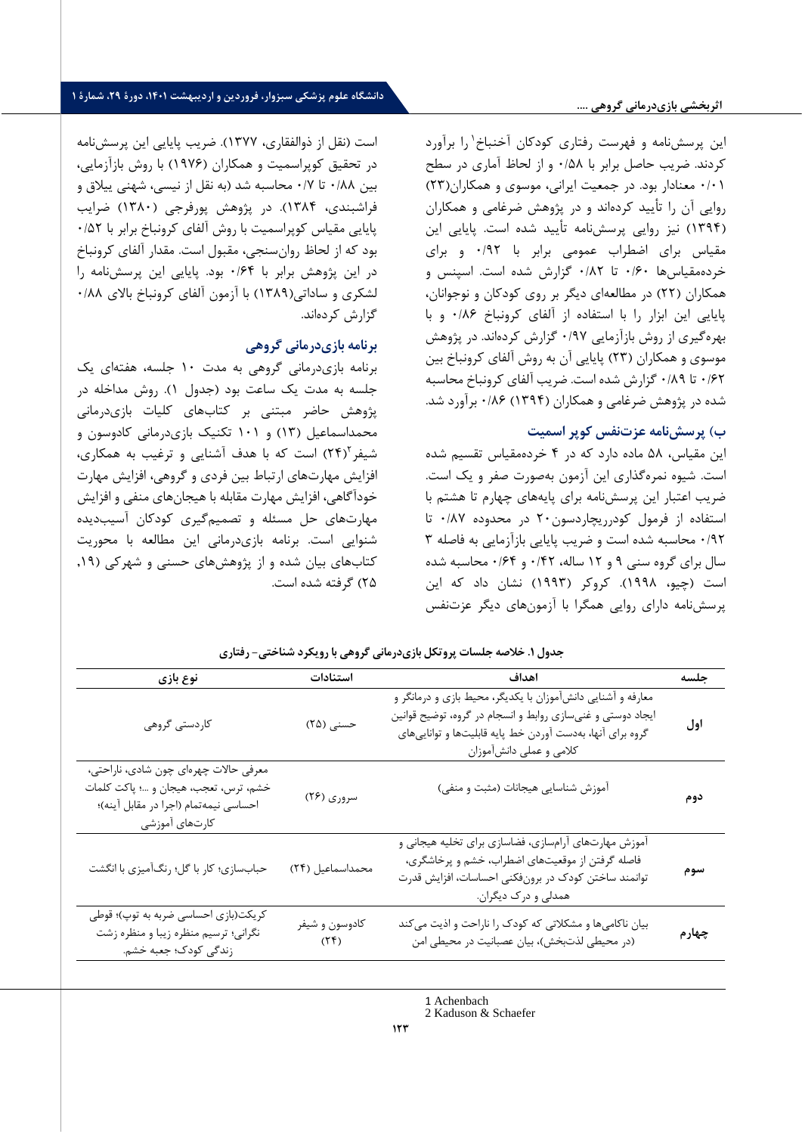<sup>1</sup>این پرسشنامه و فهرست رفتاری کودکان آخنباخ را برآورد کردند. ضریب حاصل برابر با /58 0 و از لحاظ آماری در سطح 0/01 معنادار بود. در جمعیت ایرانی، موسوی و همکاران)23( روایی آن را تأیید کردهاند و در پژوهش ضرغامی و همکاران )1394( نیز روایی پرسش نامه تأیید شده است. پایایی این مقیاس برای اضطراب عمومی برابر با 0/92 و برای خردهمقیاسها 0/60 تا 0/82 گزارش شده است. اسپنس و همکاران )22( در مطالعهای دیگر بر روی کودکان و نوجوانان، پایایی این ابزار را با استفاده از آلفای کرونباخ 0/86 و با بهره گیری از روش بازآزمایی 0/97 گزارش کردهاند. در پژوهش موسوی و همکاران )23( پایایی آن به روش آلفای کرونباخ بین 0/62 تا 0/89 گزارش شده است. ضریب آلفای کرونباخ محاسبه شده در پژوهش ضرغامی و همکاران )1394( 0/86 برآورد شد.

#### **ب( پرسش نامه عزت نفس کوپر اسمیت**

این مقیاس، 58 ماده دارد که در 4 خردهمقیاس تقسیم شده است. شیوه نمرهگذاری این آزمون بهصورت صفر و یک است. ضریب اعتبار این پرسش نامه برای پایههای چهارم تا هشتم با استفاده از فرمول کودرریچاردسون20 در محدوده 0/87 تا 0/92 محاسبه شده است و ضریب پایایی بازآزمایی به فاصله 3 سال برای گروه سنی 9 و 12 ساله، 0/42 و 0/64 محاسبه شده است )چیو، 1998(. کروکر )1993( نشان داد که این پرسش نامه دارای روایی همگرا با آزمون های دیگر عزتنفس

است )نقل از ذوالفقاری، 1377(. ضریب پایایی این پرسش نامه در تحقیق کوپراسمیت و همکاران (۱۹۷۶) با روش بازآزمایی، بین 0/88 تا 0/7 محاسبه شد )به نقل از نیسی، شهنی ییالق و فراشبندی، 1384(. در پژوهش پورفرجی ) 1380( ضرایب پایایی مقیاس کوپراسمیت با روش آلفای کرونباخ برابر با 0/52 بود که از لحاظ روانسنجی، مقبول است. مقدار آلفای کرونباخ در این پژوهش برابر با 0/64 بود. پایایی این پرسش نامه را لشکری و ساداتی(۱۳۸۹) با آزمون آلفای کرونباخ بالای ۸۸/۰ گزارش کردهاند.

#### **برنامه بازی درمانی گرلهی**

برنامه بازی درمانی گروهی به مدت 10 جلسه، هفته ای یک جلسه به مدت یک ساعت بود (جدول ۱). روش مداخله در پژوهش حاضر مبتنی بر کتابهای کلیات بازی درمانی محمداسماعیل )13( و 101 تکنیک بازی درمانی کادوسون و شیفر ۲۴) است که با هدف آشنایی و ترغیب به همکاری، افزایش مهارتهای ارتباط بین فردی و گروهی، افزایش مهارت خودآگاهی، افزایش مهارت مقابله با هیجان های منفی و افزایش مهارتهای حل مسئله و تصمیم گیری کودکان آسیب دیده شنوایی است. برنامه بازی درمانی این مطالعه با محوریت کتابهای بیان شده و از پژوهشهای حسنی و شهرکی ),19 25( گرفته شده است.

| نوع بازي                                                                                                                                  | استنادات               | اهداف                                                                                                                                                                                                             | جلسه  |
|-------------------------------------------------------------------------------------------------------------------------------------------|------------------------|-------------------------------------------------------------------------------------------------------------------------------------------------------------------------------------------------------------------|-------|
| کاردستی گروهی                                                                                                                             | حسنی (۲۵)              | معارفه و آشنایی دانشآموزان با یکدیگر، محیط بازی و درمانگر و<br>ایجاد دوستی و غنیسازی روابط و انسجام در گروه، توضیح قوانین<br>گروه برای آنها، بهدست آوردن خط پایه قابلیتها و تواناییهای<br>كلامي و عملي دانشآموزان | اول   |
| معرفی حالات چهرهای چون شادی، ناراحتی،<br>خشم، ترس، تعجب، هيجان و …؛ پاكت كلمات<br>احساسي نيمهتمام (اجرا در مقابل آينه)؛<br>كارتهاى آموزشى | سروری (۲۶)             | آموزش شناسايي هيجانات (مثبت و منفي)                                                                                                                                                                               | دوم   |
| حبابسازي؛ كار با گل؛ رنگأميزي با انگشت                                                                                                    | محمداسماعيل (٢۴)       | آموزش مهارتهای آرامسازی، فضاسازی برای تخلیه هیجانی و<br>فاصله گرفتن از موقعیتهای اضطراب، خشم و پرخاشگری،<br>توانمند ساختن کودک در برونفکنی احساسات، افزایش قدرت<br>همدلی و درک دیگران.                            | سوم   |
| کریکت(بازی احساسی ضربه به توپ)؛ قوطی<br>نگرانی؛ ترسیم منظره زیبا و منظره زشت<br>زندگی کودک؛ جعبه خشم.                                     | كادوسون و شيفر<br>(75) | بیان ناکامیها و مشکلاتی که کودک را ناراحت و اذیت میکند<br>(در محیطی لذتبخش)، بیان عصبانیت در محیطی امن                                                                                                            | چهارم |

**جدلل .1 خالصه جلسات پرلتکل باز ی درمانى گرله ی با رل یکرد شناخت ی - رفتار ی** 

<sup>1</sup> Achenbach

<sup>2</sup> Kaduson & Schaefer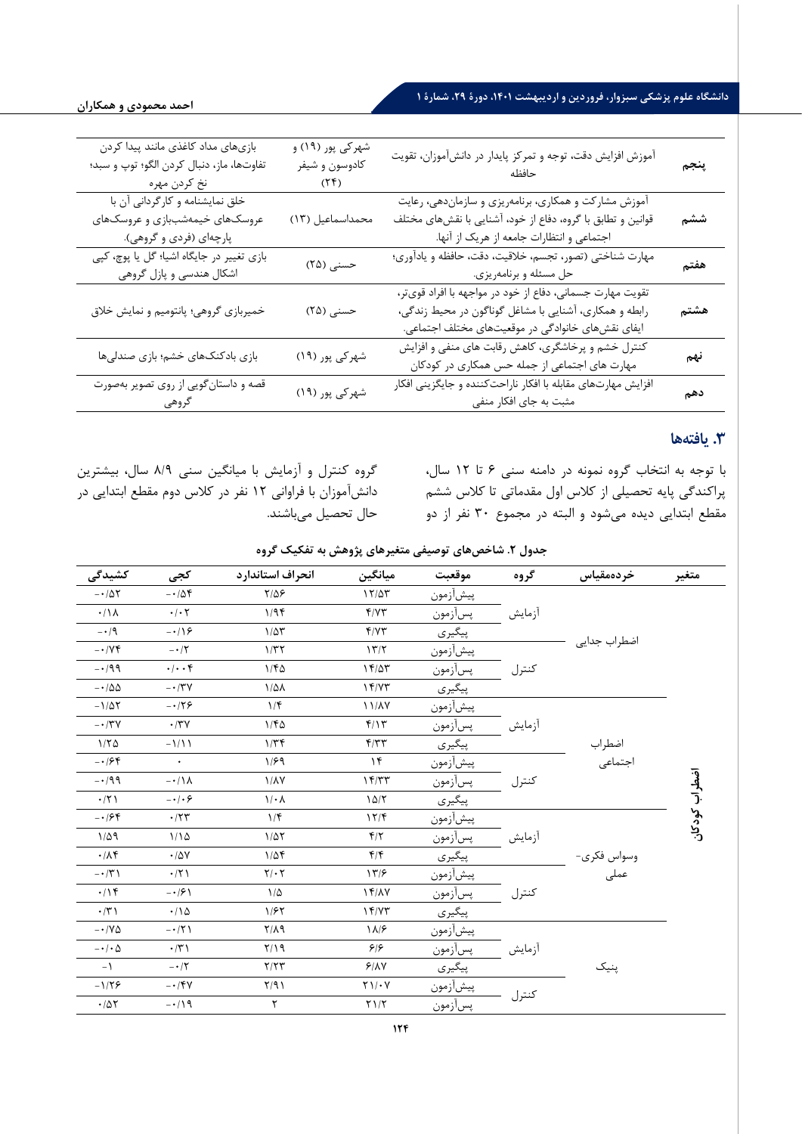# **دانشگا علوم پزشکی سبزلار، فرلردین ل اردیبهشت ،1401 دلرة ،29 شمارة 1**

| بازىهاى مداد كاغذى مانند پيدا كردن<br>تفاوتها، ماز، دنبال كردن الگو؛ توپ و سبد؛<br>نخ كردن مهره | شهرکی پور (۱۹) و<br>كادوسون و شيفر<br>(7f) | آموزش افزایش دقت، توجه و تمرکز پایدار در دانشآموزان، تقویت                                                                                                               | پنجم |
|-------------------------------------------------------------------------------------------------|--------------------------------------------|--------------------------------------------------------------------------------------------------------------------------------------------------------------------------|------|
| خلق نمایشنامه و کارگردانی آن با<br>عروسکهای خیمهشببازی و عروسکهای<br>پارچهای (فردی و گروهی).    | محمداسماعيل (١٣)                           | آموزش مشارکت و همکاری، برنامهریزی و سازماندهی، رعایت<br>قوانین و تطابق با گروه، دفاع از خود، آشنایی با نقشهای مختلف<br>اجتماعی و انتظارات جامعه از هریک از آنها.         | ششم  |
| بازی تغییر در جایگاه اشیا؛ گل یا پوچ، کپی<br>اشکال هندسی و پازل گروهی                           | حسنی (۲۵)                                  | مهارت شناختی (تصور، تجسم، خلاقیت، دقت، حافظه و یادآوری؛<br>حل مسئله و برنامهريزي.                                                                                        | هفتم |
| خمیربازی گروهی؛ پانتومیم و نمایش خلاق                                                           | حسنی (۲۵)                                  | تقویت مهارت جسمانی، دفاع از خود در مواجهه با افراد قویتر،<br>رابطه و همکاری، آشنایی با مشاغل گوناگون در محیط زندگی،<br>ایفای نقشهای خانوادگی در موقعیتهای مختلف اجتماعی. | هشتم |
| بازی بادکنکهای خشم؛ بازی صندلیها                                                                | شهرکی پور (۱۹)                             | کنترل خشم و پرخاشگری، کاهش رقابت های منفی و افزایش<br>مهارت های اجتماعی از جمله حس همکاری در کودکان                                                                      | نهم  |
| قصه و داستانگویی از روی تصویر بهصورت<br>گروهی                                                   | شهرکی پور (۱۹)                             | افزایش مهارتهای مقابله با افکار ناراحتکننده و جایگزینی افکار<br>مثبت به جای افکار منفی                                                                                   | دهم  |

# **.3 یافته ها**

با توجه به انتخاب گروه نمونه در دامنه سنی 6 تا 12 سال، پراکندگی پایه تحصیلی از کالس اول مقدماتی تا کالس ششم مقطع ابتدایی دیده می شود و البته در مجمو 30 نفر از دو

گروه کنترل و آزمایش با میانگین سنی 8/9 سال، بیشترین دانشآموزان با فراوانی 12 نفر در کالس دوم مقطع ابتدایی در حال تحصیل می باشند.

جدول ۲. شاخصهای توصیفی متغیرهای پژوهش به تفکیک گروه

| كشيدگى                        | كجى                        | انحراف استاندارد   | ميانگين                                              | موقعبت   | گروه   | خر دەمقياس                      | متغير        |
|-------------------------------|----------------------------|--------------------|------------------------------------------------------|----------|--------|---------------------------------|--------------|
| $-107$                        | $-10f$                     | $Y/\Delta P$       | $17/\Delta T$                                        | پيشأزمون |        |                                 |              |
| $\cdot/\lambda$               | $\cdot$ / $\cdot$ $\cdot$  | $1/9$ ۴            | Y/YY                                                 | پسأزمون  | أزمايش |                                 |              |
| $- \cdot 9$                   | $-\cdot/\sqrt{2}$          | $1/\Delta \tau$    | f/YY                                                 | پیگیری   |        |                                 |              |
| $- \cdot / \gamma f$          | $- \cdot / \tau$           | 1/TT               | 177                                                  | پيشأزمون |        | اضطراب جدايي                    |              |
| $-199$                        | .                          | 1/FQ               | 15/25                                                | پسأزمون  | كنترل  |                                 |              |
| $-\cdot/\Delta\Delta$         | $- \cdot / \tau v$         | $1/\Delta\lambda$  | 17/YT                                                | پیگیری   |        |                                 |              |
| $-1/\Delta \Upsilon$          | $-179$                     | 1/f                | <b>11/AY</b>                                         | پيشأزمون |        |                                 |              |
| $- \cdot / \tau \nu$          | $\cdot$ /٣٧                | 1/FQ               | f/Y                                                  | پسأزمون  | أزمايش |                                 |              |
| 1/70                          | $-\frac{1}{1}$             | 1/Tf               | F/TT                                                 | پیگیری   |        |                                 |              |
| $-188$                        | $\bullet$                  | 1/99               | $\gamma$                                             | پيشأزمون |        | اضطراب<br>اجتماعی               |              |
| $-199$                        | $-\cdot/\lambda$           | $1/\lambda Y$      | 15/TT                                                | پسأزمون  | كنترل  |                                 | ضطراب کودکان |
| $\cdot$ /٢١                   | $- \cdot   \cdot \epsilon$ | $1/\cdot \Lambda$  | 10/5                                                 | پیگیری   |        |                                 |              |
| $-188$                        | .77                        | 1/f                | 17/F                                                 | پيشأزمون |        |                                 |              |
| $1/\Delta q$                  | 1/10                       | $1/\Delta\Upsilon$ | $f/\tau$                                             | پسأزمون  | أزمايش |                                 |              |
| $\cdot/\Lambda f$             | .78V                       | $1/\Delta f$       | $f/\mathfrak{f}$                                     | پیگیری   |        |                                 |              |
| $- \cdot / \tilde{r}$         | $\cdot$ /٢١                | $Y/\cdot Y$        | 177                                                  | پيشأزمون |        | وسواس فکری-<br>عمل <sub>ی</sub> |              |
| .19                           | $- \cdot 19$               | $1/\Delta$         | $17/\lambda V$                                       | پسأزمون  | كنترل  |                                 |              |
| $\cdot$ /٣١                   | $\cdot/\Delta$             | 1/FY               | 15/77                                                | پیگیری   |        |                                 |              |
| $- \cdot / \mathrm{V} \Delta$ | $-17)$                     | $Y/\Lambda$ 9      | ۱۸/۶                                                 | پيشأزمون |        |                                 |              |
| $-\cdot/\cdot \Delta$         | $\cdot$ /٣١                | $Y/\Omega$         | ۶۱۶                                                  | پسأزمون  | أزمايش |                                 |              |
| $\mathcal{L}$                 | $- \cdot / \tau$           | Y/YY               | 9/1                                                  | پیگیری   |        | پنیک                            |              |
| $-1/79$                       | $- \cdot / \mathcal{F}V$   | Y/91               | $Y \setminus / \cdot V$                              | پيشأزمون |        |                                 |              |
| $\cdot/\Delta\Upsilon$        | $-119$                     | ٢                  | $\Upsilon\ensuremath{\left.\right)}\xspace/\Upsilon$ | پسأزمون  | كنترل  |                                 |              |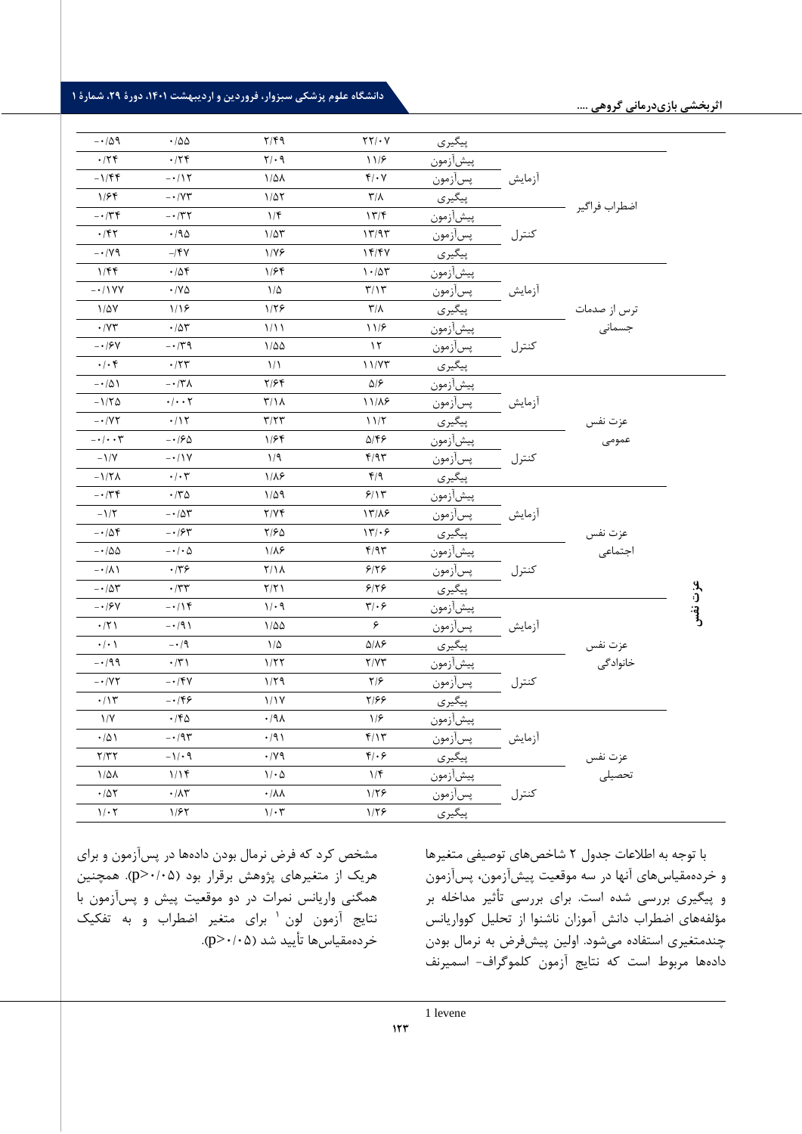|              |                        |        | پیگیری   | $\tau\tau/\cdot v$           | $Y/\mathfrak{f}\mathfrak{q}$    | .788                            | $-\cdot/\Delta$ 9                  |
|--------------|------------------------|--------|----------|------------------------------|---------------------------------|---------------------------------|------------------------------------|
|              |                        |        | پيشأزمون | 117                          | $Y/\cdot$ 9                     | .75                             | .75                                |
|              |                        | أزمايش | پسأزمون  | $f/\cdot \gamma$             | $1/\Delta\lambda$               | $-117$                          | $-1/\mathfrak{F}\mathfrak{F}$      |
|              | اضطراب فراگير          |        | پیگیری   | $\mathsf{r}/\mathsf{v}$      | $1/\Delta\Upsilon$              | $- \cdot / \gamma \tau$         | 1/56                               |
|              |                        |        | پيشازمون | 17/F                         | $1/\mathfrak{F}$                | $- \cdot 77$                    | $- \cdot 74$                       |
|              |                        | كنترل  | پسأزمون  | 17/97                        | $1/\Delta \mathbf{r}$           | $\cdot$ /90                     | $\cdot$ /۴۲                        |
|              |                        |        | پیگیری   | 14/4V                        | 1/19                            | $-$ /۴۷                         | $- \cdot / \gamma$                 |
|              |                        |        | پيشأزمون | $1 - \Delta \tau$            | 1/Ff                            | .78                             | 1/Ff                               |
|              |                        | أزمايش | پسأزمون  | $\mathbf{r}/\mathbf{r}$      | $1/\Delta$                      | $\cdot$ / Y $\Delta$            | $ \cdot$ / $\vee$ Y                |
|              |                        |        | پیگیری   | $\mathsf{r}/\mathsf{v}$      | 1/79                            | 1/19                            | $1/\Delta V$                       |
|              | ترس از صدمات<br>جسمانی |        | پيشأزمون | 11/5                         | 1/11                            | $\cdot/\Delta\mathbf{r}$        | $\cdot$ /Y٣                        |
|              |                        | كنترل  | پسأزمون  | $\gamma$                     | $1/\Delta\Delta$                | $-\cdot/\tau$ ٩                 | $-19V$                             |
|              |                        |        | پیگیری   | 11/Y                         | $\frac{1}{2}$                   | $\boldsymbol{\cdot}$ /٢٣        | $\cdot/\cdot$ ۴                    |
|              |                        |        | پيشازمون | $\Delta/\mathcal{F}$         | $Y/\mathcal{F}$                 | $- \cdot / \tilde{\tau} \wedge$ | $-101$                             |
|              |                        | أزمايش | پسأزمون  | 11/18                        | $T/\lambda$                     | $\cdot/\cdot\cdot\tau$          | $-1/T\Delta$                       |
|              | عزت نفس                |        | پیگیری   | 11/7                         | $\tau/\tau\tau$                 | .115                            | $ \cdot$ / Y $\tau$                |
|              | عمومى                  |        | پيشازمون | ۵/۴۶                         | 1/Ff                            | $- \cdot 190$                   | $- \cdot / \cdot \cdot \mathsf{y}$ |
|              |                        | كنترل  | پسأزمون  | f/97                         | 1/9                             | $- \cdot / \gamma$              | $-1/Y$                             |
|              |                        |        | پیگیری   | f/9                          | $1/\lambda$ ۶                   | $\cdot/\cdot7$                  | $-1/\Upsilon\Lambda$               |
|              |                        |        | پيشازمون | 5/15                         | $1/\Delta$ 9                    | $\cdot$ $/70$                   | $- \cdot / \tau \cdot$             |
|              |                        | أزمايش | پسآزمون  | 17/19                        | Y/YF                            | $-10r$                          | $-1/\Upsilon$                      |
|              |                        |        | پیگیری   | 177.5                        | Y/FQ                            | $- \cdot 194$                   | $-10f$                             |
|              | عزت نفس<br>اجتماعی     |        | پيشأزمون | f/97                         | $1/\lambda$ ۶                   | $-\cdot/\cdot \Delta$           | $-100$                             |
|              |                        | كنترل  | پسأزمون  | 918                          | $Y/\lambda$                     | $\cdot$ /٣۶                     | $-\cdot/\lambda$                   |
|              |                        |        | پیگیری   | 9179                         | Y/Y                             | $\cdot$ /٣٣                     | $-\cdot/\Delta\Upsilon$            |
| عزت نفس<br>ا |                        |        | پيشآزمون | $\mathbf{r}/\cdot\mathbf{r}$ | 1/29                            | $-\cdot/15$                     | $- \cdot 194$                      |
|              |                        | آزمايش | پسأزمون  | ۶                            | $1/\Delta\Delta$                | $-191$                          | $\cdot$ /٢١                        |
|              | عزت نفس                |        | پیگیری   | $\Delta/\lambda$ ۶           | $1/\Delta$                      | $-14$                           | $\cdot/\cdot$                      |
|              | خانوادگی               |        | پيشآزمون | Y/YY                         | 1/57                            | $\cdot$ /٣١                     | $-199$                             |
|              |                        | كنترل  | پسأزمون  | $\frac{1}{2}$                | 1/79                            | $- \cdot / \mathcal{F}V$        | $ \cdot$ / Y $\tau$                |
|              |                        |        | پیگیری   | ۲/۶۶                         | 1/1V                            | $-159$                          | $\cdot/\gamma$                     |
|              |                        |        | پيشآزمون | 1/5                          | .44                             | $\cdot$ /۴۵                     | $\frac{1}{\sqrt{2}}$               |
|              |                        | أزمايش | پسأزمون  | f/Y                          | $\cdot$ /9)                     | $-\cdot$ /9٣                    | $\cdot/\Delta$                     |
|              |                        |        | پیگیری   | $f(\cdot)$                   | .14                             | $-1/2$                          | Y/YY                               |
|              | عزت نفس<br>تحصیلی      |        | پيشأزمون | 1/f                          | $\mathcal{N} \cdot \mathcal{Q}$ | 1/15                            | $1/\Delta\lambda$                  |
|              |                        | كنترل  | پسأزمون  | 1/۲۶                         | $\cdot/\lambda\lambda$          | $\cdot/\Lambda\tau$             | $\cdot/\Delta\Upsilon$             |
|              |                        |        | پیگیری   | 1/5                          | $\mathcal{N} \cdot \mathcal{r}$ | 1/57                            | $1/\cdot 7$                        |

مشخص کرد که فرض نرمال بودن دادهها در پس آزمون و برای هریک از متغیرهای پژوهش برقرار بود )0/05<p). همچنین همگنی واریانس نمرات در دو موقعیت پیش و پس آزمون با 1 نتایج آزمون لون برای متغیر اضطراب و به تفکیک خردهمقیاس ها تأیید شد (p>٠/٠۵). با توجه به اطالعات جدول 2 شاخصهای توصیفی متغیرها و خردهمقیاس های آنها در سه موقعیت پیش آزمون، پس آزمون و پیگیری بررسی شده است. برای بررسی تأثیر مداخله بر مرلفه های اضطراب دانش آموزان ناشنوا از تحلیل کوواریانس چندمتغیری استفاده می شود. اولین پیش فرض به نرمال بودن دادهها مربوط است که نتایج آزمون کلموگراف- اسمیرنف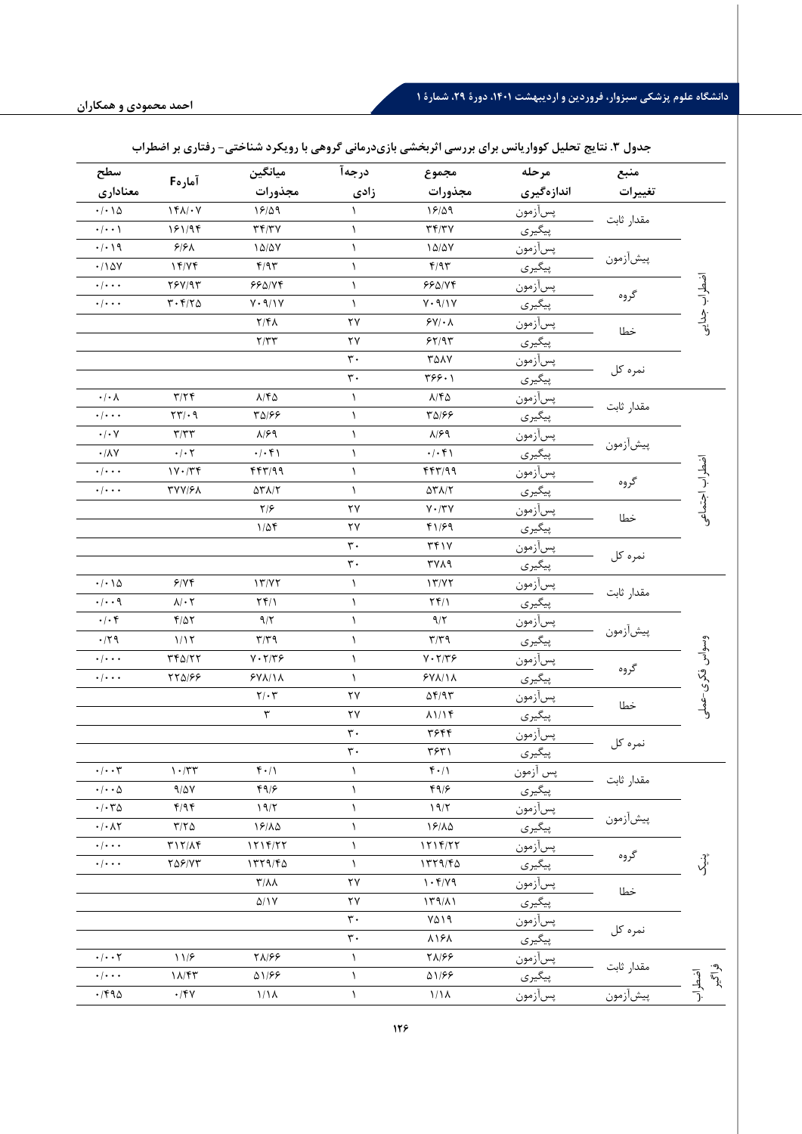| سطح                                                            |                                                           | ميانگين                                                                     | درجهآ                | مجموع                                               | مرحله           | منبع       |                    |
|----------------------------------------------------------------|-----------------------------------------------------------|-----------------------------------------------------------------------------|----------------------|-----------------------------------------------------|-----------------|------------|--------------------|
| معنادارى                                                       | آمارهF                                                    | مجذورات                                                                     | زادى                 | مجذورات                                             | اندازهگیری      | تغييرات    |                    |
| $\cdot/\cdot\setminus\Delta$                                   | $\mathcal{N}(\mathcal{N})$                                | 19/09                                                                       | ١                    | 19/09                                               | پسأزمون         |            |                    |
| $\cdot$ / $\cdot$ /                                            | 181/94                                                    | $\Upsilon \Upsilon / \Upsilon V$                                            | ١                    | $\tau \tau/\tau \nu$                                | پیگیری          | مقدار ثابت |                    |
| $\cdot/\cdot\setminus\mathfrak{q}$                             | $9/9\Lambda$                                              | $\lambda \Delta/\Delta \rm{V}$                                              | $\lambda$            | 10/2V                                               | پسأزمون         |            |                    |
| $\cdot/\log$                                                   | 17/Y                                                      | f/9r                                                                        | $\lambda$            | F/97                                                | پیگیری          | پيشأزمون   |                    |
| $\cdot/\cdot\cdot\cdot$                                        | YY/Y                                                      | 990/Yf                                                                      | ١                    | 990/Yf                                              | پسأزمون         |            | آفشطراب جدايت      |
| $\cdot/\cdot\cdot\cdot$                                        | $\mathbf{r}\cdot\mathbf{f}/\mathbf{r}\boldsymbol{\Delta}$ | $\mathsf{Y} \cdot \mathsf{Y} / \mathsf{Y}$                                  | $\lambda$            | $\mathsf{Y} \cdot \mathsf{Y} / \mathsf{Y}$          | پيگيري          | گروه       |                    |
|                                                                |                                                           | $Y/\mathfrak{F}\Lambda$                                                     | ۲۷                   | $\mathcal{F} \mathsf{Y}/\cdot \mathsf{A}$           | پسأزمون         | خطا        |                    |
|                                                                |                                                           | Y/YY                                                                        | ۲۷                   | 55/97                                               | پیگیری          |            |                    |
|                                                                |                                                           |                                                                             | $\mathbf{r}$ .       | <b>TAAY</b>                                         | پسأزمون         |            |                    |
|                                                                |                                                           |                                                                             | $\mathbf{\tau}$ .    | ۳۶۶۰۱                                               | پیگیری          | نمره کل    |                    |
| $\boldsymbol{\cdot}\, \boldsymbol{\cdot}\,\boldsymbol{\wedge}$ | $\tau/\tau$                                               | $\lambda/\mathfrak{k}\Delta$                                                | $\lambda$            | $\lambda/\mathfrak{k}\Delta$                        | پسأزمون         |            |                    |
| $\cdot$ / $\cdot$ $\cdot$                                      | $\mathbf{Y} \mathbf{Y} / \cdot \mathbf{q}$                | ٣۵/۶۶                                                                       | $\lambda$            | 43/68                                               | پیگیری          | مقدار ثابت |                    |
| $\boldsymbol{\cdot}\,/\boldsymbol{\cdot}\,$ $\vee$             | $\tau/\tau\tau$                                           | $\lambda$ /۶۹                                                               | ١                    | $\lambda$ /۶۹                                       | پسأزم <u>ون</u> |            |                    |
| $\cdot/\lambda\gamma$                                          | $\cdot/\cdot$ $\mathsf{Y}$                                | $\cdot/\cdot$ ۴۱                                                            | ١                    | $\cdot/\cdot$ ۴۱                                    | پیگیری          | پيشأزمون   |                    |
| $\cdot/\cdot\cdot\cdot$                                        | $1Y \cdot / Y$                                            | f f f''/99                                                                  | ١                    | f f f''/99                                          | پسأزمون         |            | ضطراب اجتماعى      |
| $\cdot/\cdot\cdot\cdot$                                        | <b>TYY/FA</b>                                             | $\Delta \Upsilon \Lambda/\Upsilon$                                          | $\lambda$            | $\Delta \Upsilon \Lambda/\Upsilon$                  | پيگيري          | گروه       |                    |
|                                                                |                                                           | $\frac{1}{2}$                                                               | ۲۷                   | $\mathsf{Y}\boldsymbol{\cdot}/\mathsf{Y}\mathsf{Y}$ | پسأزمون         | خطا        |                    |
|                                                                |                                                           | $1/\Delta f$                                                                | ۲۷                   | f1/F9                                               | پیگیری          |            |                    |
|                                                                |                                                           |                                                                             | $\mathbf{r}$ .       | TfY                                                 | پسأزمون         |            |                    |
|                                                                |                                                           |                                                                             | $\mathbf{r}$ .       | <b>٣٧٨٩</b>                                         | پیگیری          | نمره کل    |                    |
| $\cdot/\cdot\setminus\Delta$                                   | 9/19                                                      | 17/Y                                                                        | $\lambda$            | 17/77                                               | پسأ <u>زمون</u> | مقدار ثابت |                    |
| $\cdot/\cdot\cdot$ 9                                           | $\lambda/\cdot$ ٢                                         | $Yf/\lambda$                                                                | ١                    | $Yf/\lambda$                                        | پیگیری          |            |                    |
| $\boldsymbol{\cdot}\,/\boldsymbol{\cdot}\, \mathbf{f}$         | $\mathbf{f}/\Delta\mathbf{Y}$                             | 9/7                                                                         | ١                    | $\gamma/\gamma$                                     | پسأزمون         | پيشأزمون   |                    |
| $\cdot$ /٢٩                                                    | 1/15                                                      | $\mathbf{r}/\mathbf{r}$                                                     | ١                    | $\mathbf{r}/\mathbf{r}$                             | پیگیری          |            |                    |
| $\cdot/\cdot\cdot\cdot$                                        | $YY\Delta/YY$                                             | $\mathsf{Y}\boldsymbol{\cdot}\mathsf{Y}/\mathsf{Y}\boldsymbol{\mathcal{F}}$ | ١                    | $Y \cdot Y / Y$                                     | پسأ <u>زمون</u> |            |                    |
| $\cdot/\cdot\cdot\cdot$                                        | 770/88                                                    | $YV\Lambda/\Lambda$                                                         | $\lambda$            | $YV/\lambda$                                        | پیگیری          | گروه       |                    |
|                                                                |                                                           | $\mathbf{Y}/\cdot\mathbf{Y}$                                                | ٢٧                   | $\Delta f$ /95                                      | پسأزمون         | خطا        | وسواس فكرى-عملى    |
|                                                                |                                                           | $\overline{\mathbf{r}}$                                                     | ۲۷                   | $\lambda$ 1/14                                      | پیگیری          |            |                    |
|                                                                |                                                           |                                                                             | $\mathbf{r}$ .       | ٣۶۴۴                                                | پسأزمون         |            |                    |
|                                                                |                                                           |                                                                             | $\mathbf{\tau}\cdot$ | ۳۶۳۱                                                | پیگیری          | نمره کل    |                    |
| $\cdot/\cdot\cdot\tau$                                         | $\mathcal{N} \cdot / \mathcal{N} \mathcal{N}$             | $f \cdot / \Lambda$                                                         | $\lambda$            | $f \cdot / \Lambda$                                 | پس ازمون        |            |                    |
| $\cdot$ / $\cdot$ $\cdot$ $\upDelta$                           | $9/\Delta V$                                              | $f \gamma / 5$                                                              | ١                    | 49/5                                                | پیگیری          | مقدار ثابت |                    |
| $\cdot/\cdot\tau$                                              | f/9f                                                      | 19/7                                                                        | ١                    | 19/7                                                | پسآزمون         |            |                    |
| $\cdot/\cdot \wedge \curlyvee$                                 | $\tau/\tau$ $\Delta$                                      | 19/10                                                                       | $\lambda$            | 19/10                                               | پیگیری          | پيشأزمون   |                    |
| $\cdot/\cdot\cdot$                                             | $T17/\Lambda f$                                           | $1719/77$                                                                   | ١                    | $1719/77$                                           | پسازمون         |            |                    |
| $\cdot$ / $\cdot$ $\cdot$                                      | $Y\Delta Y/YY$                                            | 1779/FQ                                                                     | $\lambda$            | 1779/FQ                                             | پیگیری          | گروه       | ぷ                  |
|                                                                |                                                           | $\mathsf{r}/\mathsf{v}$                                                     | ۲۷                   | 1.5/19                                              | پسأزمون         | خطا        |                    |
|                                                                |                                                           | $\Delta/\Upsilon$                                                           | ۲۷                   | $179/\lambda$                                       | پیگیری          |            |                    |
|                                                                |                                                           |                                                                             | $\mathbf{r}$ .       | ۷۵۱۹                                                | پسازمون         | نمره کل    |                    |
|                                                                |                                                           |                                                                             | $\mathbf{r}$ .       | <b>A19A</b>                                         | پیگیری          |            |                    |
| $\cdot/\cdot\cdot$ $\mathsf{Y}$                                | 117                                                       | ۲۸/۶۶                                                                       | $\lambda$            | <b>TA/۶۶</b>                                        | پسازمون         |            |                    |
| $\cdot/\cdot\cdot\cdot$                                        | $1\Lambda/\mathfrak{k}\mathfrak{r}$                       | 51/66                                                                       | ١                    | 01/88                                               | پیگیری          | مقدار ثابت | اقسطراب<br>بالمسلم |
| $\cdot$ /۴۹۵                                                   | $\cdot$ /۴۷                                               | 1/11                                                                        | $\lambda$            | 1/1 <sub>A</sub>                                    | پسأزمون         | پيشأزمون   |                    |

# **جدلل .3 نتایج تحلیل کولاریانس برای بررسی اثربخشی بازی درمانی گرلهی با رلیکرد شناختی- رفتاری بر اضطراب**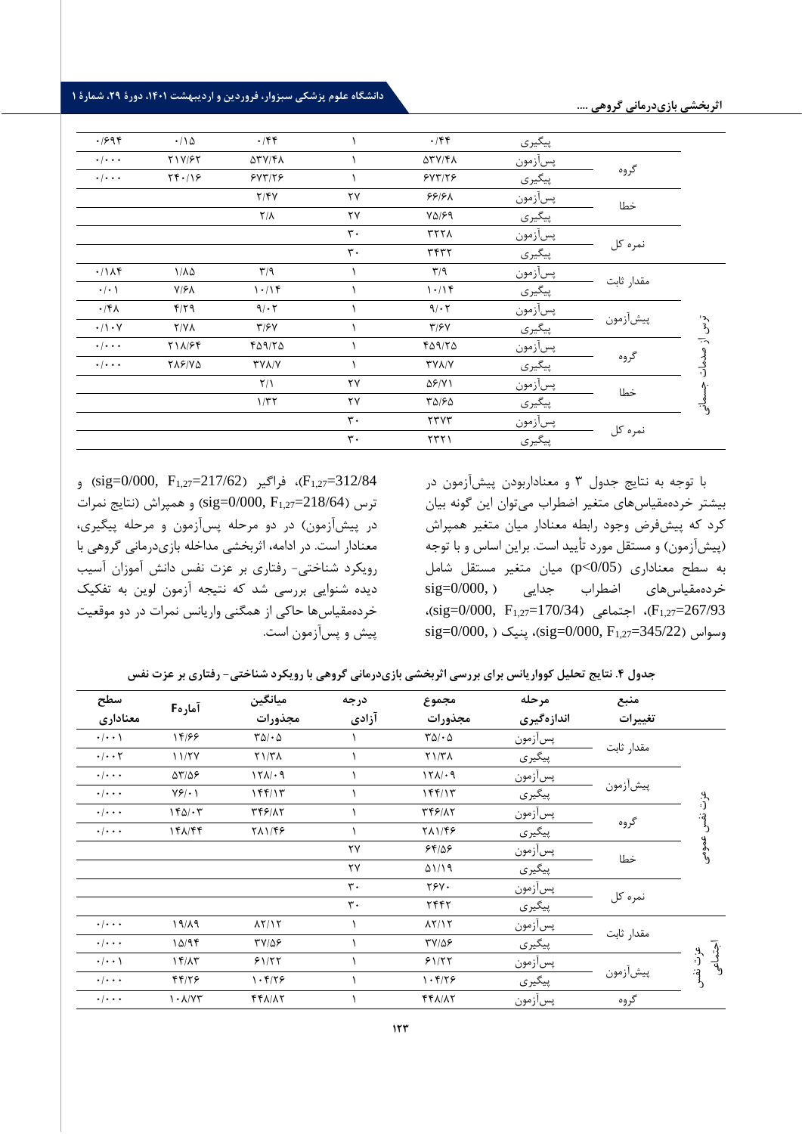دانشگاه علوم پزشکی سبزوار، فروردین و اردیبهشت **۱۴۰۱، دورهٔ ۲۹، شمارهٔ** ۱

|                                |            | پیگیری  | $\cdot$ /۴۴         |                        | $\cdot$ /۴۴             | $\cdot/\Delta$    | .1998                     |
|--------------------------------|------------|---------|---------------------|------------------------|-------------------------|-------------------|---------------------------|
|                                |            | پسأزمون | <b>ATV/FA</b>       |                        | <b>ATY/FA</b>           | Y1Y/FY            | $\cdot$   $\cdot$ $\cdot$ |
|                                | گروه       | پیگیری  | 5YT/T5              |                        | 5YT/T5                  | Yf.19             | $\cdot$   $\cdot$ $\cdot$ |
|                                | خطا        | پسأزمون | ۶۶۱۶۸               | $\mathsf{Y}\mathsf{Y}$ | Y/Y                     |                   |                           |
|                                |            | پیگیری  | $Y\Delta$ /۶۹       | ٢٧                     | $Y/\lambda$             |                   |                           |
|                                |            | پسأزمون | <b>TYYA</b>         | $\mathbf{r}$ .         |                         |                   |                           |
|                                | نمرہ کل    | پیگیری  | <b>٣۴٣٢</b>         | $\mathbf{r}$ .         |                         |                   |                           |
|                                |            | پسأزمون | T/9                 |                        | $\mathbf{r}/\mathbf{q}$ | $1/\lambda\Delta$ | .71A                      |
|                                | مقدار ثابت | پیگیری  | 1.19                |                        | 1.1                     | $Y/\mathcal{F}$   | $\cdot/\cdot$ )           |
|                                |            | پسأزمون | 9/67                |                        | 9/17                    | $F/Y$ 9           | $\cdot$ /۴۸               |
| $\tilde{\zeta}^{\mathfrak{r}}$ | پيشأزمون   | پیگیری  | $\tau$ / $\epsilon$ |                        | T/5V                    | $Y/Y\Lambda$      | $\cdot/\cdot$ Y           |
|                                |            | پسأزمون | 409/70              |                        | ٢۵٩/٢۵                  | <b>TIA/۶۴</b>     | $\cdot$ / $\cdot$ $\cdot$ |
| از صدمات<br>رابہ               | گروه       | پیگیری  | <b>TYA/Y</b>        |                        | <b>TYA/Y</b>            | <b>TAS/VQ</b>     | $\cdot$   $\cdot$ $\cdot$ |
|                                | خطا        | پسأزمون | $\Delta$ ۶/۷۱       | ٢٧                     | $\frac{1}{\sqrt{2}}$    |                   |                           |
|                                |            | پیگیری  | ۳۵/۶۵               | ٢٧                     | 1/TT                    |                   |                           |
|                                |            | پسأزمون | 550                 | $\mathbf{r}$ .         |                         |                   |                           |
|                                | نمرہ کل    | پیگیری  | 5571                | $\mathbf{r}$ .         |                         |                   |                           |
|                                |            |         |                     |                        |                         |                   |                           |

واگیر ( sig=0/000, F<sub>1,27</sub>=217/62) و (sig=0/000) (  $F_{1,27}$ ترس (218/64–3 $\text{sig=0/000}, \text{F}_{1,27}$  ) و همپراش (نتایج نمرات در پیشآزمون) در دو مرحله پسآزمون و مرحله پیگیری، معنادار است. در ادامه، اثربخشی مداخله بازی درمانی گروهی با رویکرد شناختی- رفتاری بر عزت نفس دانش آموزان آسیب دیده شنوایی بررسی شد که نتیجه آزمون لوین به تفکیک خردهمقیاسها حاکی از همگنی واریانس نمرات در دو موقعیت پیش و پس آزمون است.

با توجه به نتایج جدول 3 و معناداربودن پیشآزمون در بیشتر خردهمقیاسهای متغیر اضطراب میتوان این گونه بیان کرد که پیش فرض وجود رابطه معنادار میان متغیر همپراش (پیشآزمون) و مستقل مورد تأیید است. براین اساس و با توجه به سطح معناداری )0/05>p )میان متغیر مستقل شامل  $sig=0/000,$  خردهمقیاس های اضطراب جدایی  $\text{sig}$  ،)sig=0/000, F1,27=170/34( اجتماعی ،(F1,27=267/93  $sig=0/000$ ,  $\text{sig=0/000}$ , پنیک ( $\text{sig=0/000}$ , F<sub>1,27</sub>=345/22)

| جدول ۴. نتایج تحلیل کوواریانس برای بررسی اثربخشی بازیدرمانی گروهی با رویکرد شناختی- رفتاری بر عزت نفس |  |  |  |
|-------------------------------------------------------------------------------------------------------|--|--|--|
|-------------------------------------------------------------------------------------------------------|--|--|--|

| سطح                             | آمارهF                                | ميانگين                        | درجه           | مجموع                  | مرحله      | منبع       |                    |
|---------------------------------|---------------------------------------|--------------------------------|----------------|------------------------|------------|------------|--------------------|
| معنادارى                        |                                       | مجذورات                        | آزادی          | مجذورات                | اندازهگیری | تغييرات    |                    |
| $\cdot$   $\cdot$ \             | 14/99                                 | $\Gamma \Delta / \cdot \Delta$ |                | $T\Delta/\cdot \Delta$ | پسأزمون    | مقدار ثابت |                    |
| $\cdot/\cdot\cdot$ $\mathsf{Y}$ | 11/7Y                                 | $Y \setminus Y$                |                | Y1/T <sub>A</sub>      | پیگیری     |            |                    |
| $\cdot/\cdot\cdot\cdot$         | $\Delta \mathbf{Y}/\Delta \mathbf{P}$ | 151/19                         |                | 151/19                 | پسأزمون    |            |                    |
| $\cdot/\cdot\cdot\cdot$         | $Y5\cdot Y$                           | 144/15                         |                | ۱۴۴/۱۳                 | پیگیری     | پيشأزمون   | يو.<br>(ن          |
| $\cdot/\cdot\cdot\cdot$         | $140/\cdot 7$                         | <b>TFF/17</b>                  |                | <b>٣۴۶/٨٢</b>          | پسأزمون    |            | ته:<br>د           |
| $\cdot/\cdot\cdot\cdot$         | 141/44                                | 711/48                         |                | 711/48                 | پیگیری     | گروه       |                    |
|                                 |                                       |                                | ٢٧             | 58/25                  | پسأزمون    |            | عمومى              |
|                                 |                                       |                                | ٢٧             | 01/19                  | پیگیری     | خطا        |                    |
|                                 |                                       |                                | $\mathbf{r}$ . | <b>TSV.</b>            | پسأزمون    |            |                    |
|                                 |                                       |                                | ٣.             | ٢۴۴٢                   | پیگیری     | نمرہ کل    |                    |
| $\cdot/\cdot\cdot\cdot$         | $19/\lambda9$                         | $\lambda Y/\lambda Y$          |                | $\lambda Y/\lambda Y$  | پسأزمون    |            |                    |
| $\cdot/\cdot\cdot\cdot$         | 10/95                                 | $TY/\Delta F$                  |                | $TY/\Delta F$          | پیگیری     | مقدار ثابت |                    |
| $\cdot$   $\cdot$ \             | 15/17                                 | 51/57                          |                | 51/57                  | پسأزمون    |            | اجتماعی<br>عزت نفس |
| $\cdot/\cdot\cdot\cdot$         | 44/26                                 | 1.5/79                         |                | 1.8/79                 | پیگیری     | پيشأزمون   |                    |
| $\cdot$ / $\cdot$ $\cdot$       | $\lambda$ . $\lambda$ / $\lambda$ ۳   | 441/17                         |                | $f f \Lambda/\Lambda$  | پسأزمون    | گروه       |                    |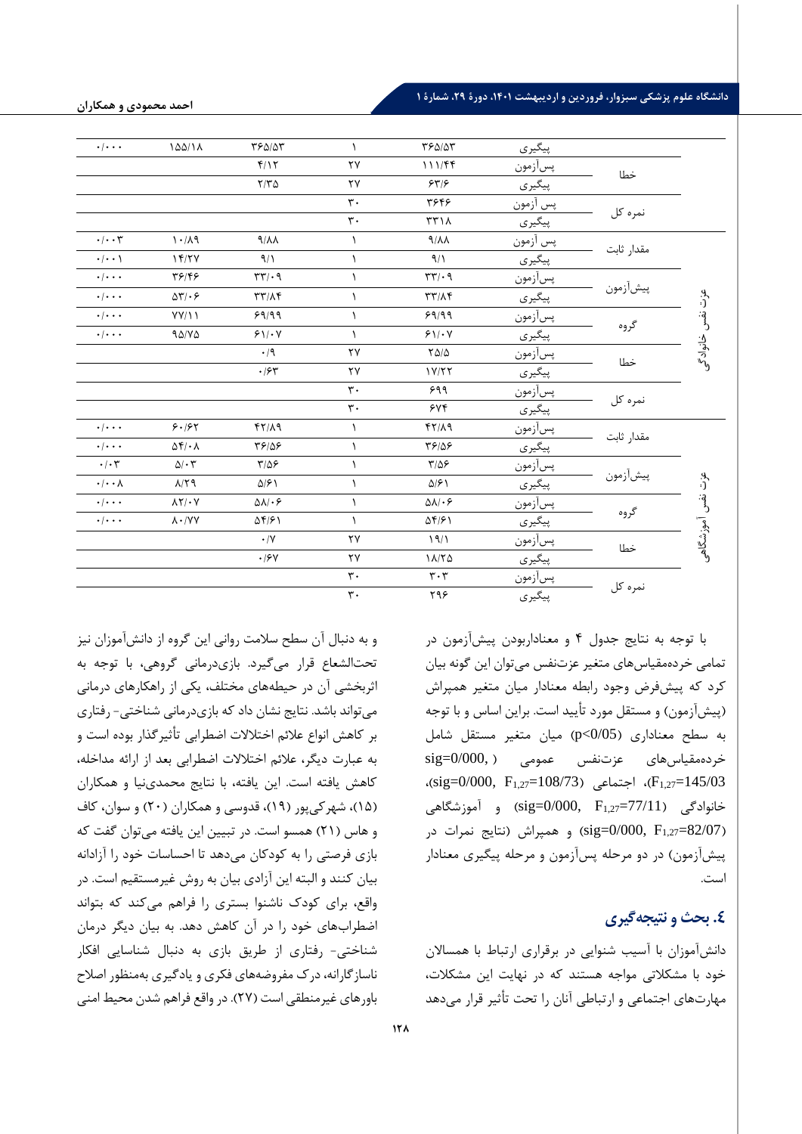#### دانشگاه علوم پزشکی سبزوار، فروردین و اردیبهشت **۱۴۰۱، دورهٔ ۲۹، شمارهٔ ۱**

|                          |            | پیگیری          | ٣۶۵/۵٣                        | $\mathcal{L}$          | ٣۶۵/۵٣                                 | 100/11                                  | $\cdot$ / $\cdot$ $\cdot$    |
|--------------------------|------------|-----------------|-------------------------------|------------------------|----------------------------------------|-----------------------------------------|------------------------------|
|                          | خطا        | پسأزمون         | 111/FF                        | $\mathsf{Y}\mathsf{Y}$ | f/Y                                    |                                         |                              |
|                          |            | پیگیری          | 557/                          | $\mathsf{Y}\mathsf{Y}$ | $Y/Y$ $\Delta$                         |                                         |                              |
|                          |            | پس أزمون        | ٣۶۴۶                          | $\mathbf{r}$ .         |                                        |                                         |                              |
|                          | نمره کل    | پیگیری          | $\tau\tau\lambda$             | $\mathbf{r}$ .         |                                        |                                         |                              |
|                          |            | پس أزمون        | $4/\lambda\lambda$            | ١                      | $4/\lambda\lambda$                     | $\Lambda \cdot / \Lambda$               | $\cdot/\cdot\cdot\mathsf{y}$ |
|                          | مقدار ثابت | پیگیری          | 9/1                           | $\lambda$              | 9/1                                    | 15/7V                                   | $\cdot$ / $\cdot$ )          |
| عزت نفس<br>ا<br>خانوادگی |            | پسآزم <u>ون</u> | $\tau\tau/\cdot$ 9            | $\lambda$              | $\mathbf{r}\mathbf{r}/\cdot\mathbf{q}$ | 39/47                                   | $\cdot$ / $\cdot$ $\cdot$    |
|                          | پيشأزمون   | پیگیری          | $\tau\tau/\lambda\tau$        | $\lambda$              | $\tau\tau/\lambda\tau$                 | $\Delta \Upsilon / \cdot 5$             | $\cdot$ / $\cdot$ $\cdot$    |
|                          | گروه       | پسأزمون         | 99/99                         | $\lambda$              | 99/99                                  | YY/11                                   | $\cdot$ / $\cdot$ $\cdot$    |
|                          |            | پیگیری          | $91/\cdot V$                  | $\lambda$              | 91.4                                   | 90/10                                   | $\cdot$ / $\cdot$ $\cdot$    |
|                          | خطا        | پسأزمون         | $\tau\Delta/\Delta$           | $\mathsf{Y}\mathsf{Y}$ | $\cdot$ /9                             |                                         |                              |
|                          |            | پیگیری          | 1Y/57                         | $\mathsf{Y}\mathsf{Y}$ | .75                                    |                                         |                              |
|                          | نمره کل    | پسأزمون         | ۶۹۹                           | $\mathbf{r}$ .         |                                        |                                         |                              |
|                          |            | پیگیری          | 546                           | $\mathbf{r}$ .         |                                        |                                         |                              |
|                          |            | پسآزم <u>ون</u> | $fY/\lambda$ 9                | $\lambda$              | $fY/\lambda$ 9                         | 9.197                                   | $\cdot$ / $\cdot$ $\cdot$    |
|                          | مقدار ثابت | پیگیری          | 58189                         | $\lambda$              | 58189                                  | $\Delta f / \cdot \Lambda$              | $\cdot$ / $\cdot$ $\cdot$    |
|                          |            | پسأزمون         | $T/\Delta$ ۶                  | ١                      | $T/\Delta P$                           | $\Delta/\cdot \tau$                     | $\cdot/\cdot7$               |
|                          | پيشأزمون   | پیگیری          | $\Delta$ /۶)                  | ١                      | $\Delta$ /۶)                           | $\lambda/\Upsilon$ 9                    | $\cdot/\cdot\cdot\Lambda$    |
|                          |            | پسأزمون         | $\Delta \Lambda / \cdot 5$    | ١                      | $\Delta \lambda / \cdot 5$             | $\lambda \Upsilon / \cdot V$            | $\cdot$ / $\cdot$ $\cdot$    |
| عزت نفس آموزشگاهی        | گروه       | پیگیری          | $\Delta f/f$                  | ١                      | ۵۴/۶۱                                  | $\Lambda \cdot / \mathrm{V} \mathrm{V}$ | $\cdot$ / $\cdot$ $\cdot$    |
|                          |            | پسأزمون         | 19/1                          | $\mathsf{Y}\mathsf{Y}$ | $\cdot/\Upsilon$                       |                                         |                              |
|                          | خطا        | پیگیر <u>ی</u>  | 11/70                         | ٢٧                     | $\cdot$ /۶ $\gamma$                    |                                         |                              |
|                          |            | پسأزمون         | $\mathbf{r} \cdot \mathbf{r}$ | $\mathbf{r}$ .         |                                        |                                         |                              |
|                          | نمره کل    | پیگیری          | ۲۹۶                           | $\mathbf{r}$ .         |                                        |                                         |                              |

با توجه به نتایج جدول 4 و معناداربودن پیشآزمون در تمامی خردهمقیاسهای متغیر عزتنفس می توان این گونه بیان کرد که پیش فرض وجود رابطه معنادار میان متغیر همپراش (پیشآزمون) و مستقل مورد تأیید است. براین اساس و با توجه به سطح معناداری )0/05>p )میان متغیر مستقل شامل  $sig=0/000$ , ) خردهمقیاسهای عزتنفس عمومی ،(sig=0/000, F<sub>1,27</sub>=108/73) اجتماعی (sig=0/000, F<sub>1,27</sub>=108/73).  $\text{sign} = \text{sign}(77/11)$  (sig=0/000, F<sub>1,27</sub>=77/11) و همپراش (نتایج نمرات در (sig=0/000, F1,27=82/07) ییش آزمون) در دو مرحله پسآزمون و مرحله پیگیری معنادار است.

# **.4 بحث و نتیجه گیری**

دانشآموزان با آسیب شنوایی در برقراری ارتباط با همساالن خود با مشکالتی مواجه هستند که در نهایت این مشکالت، مهارتهای اجتماعی و ارتباطی آنان را تحت تأثیر قرار میدهد

و به دنبال آن سطح سالمت روانی این گروه از دانش آموزان نیز تحتالشعاع قرار میگیرد. بازی درمانی گروهی، با توجه به اثربخشی آن در حیطههای مختلف، یکی از راهکارهای درمانی می تواند باشد. نتایج نشان داد که بازی درمانی شناختی- رفتاری بر کاهش انواع علائم اختلالات اضطرابی تأثیر گذار بوده است و به عبارت دیگر، عالئم اختالالت اضطرابی بعد از ارائه مداخله، کاهش یافته است. این یافته، با نتایج محمدی نیا و همکاران (۱۵)، شهر کی پور (۱۹)، قدوسی و همکاران (۲۰) و سوان، کاف و هاس )21( همسو است. در تبیین این یافته می توان گفت که بازی فرصتی را به کودکان می دهد تا احساسات خود را آزادانه بیان کنند و البته این آزادی بیان به روش غیرمستقیم است. در واقع، برای کودک ناشنوا بستری را فراهم میکند که بتواند اضطرابهای خود را در آن کاهش دهد. به بیان دیگر درمان شناختی- رفتاری از طریق بازی به دنبال شناسایی افکار ناسازگارانه، درک مفروضه های فکری و یادگیری به منظور اصال باورهای غیرمنطقی است )27( . در واقع فراهم شدن محیط امنی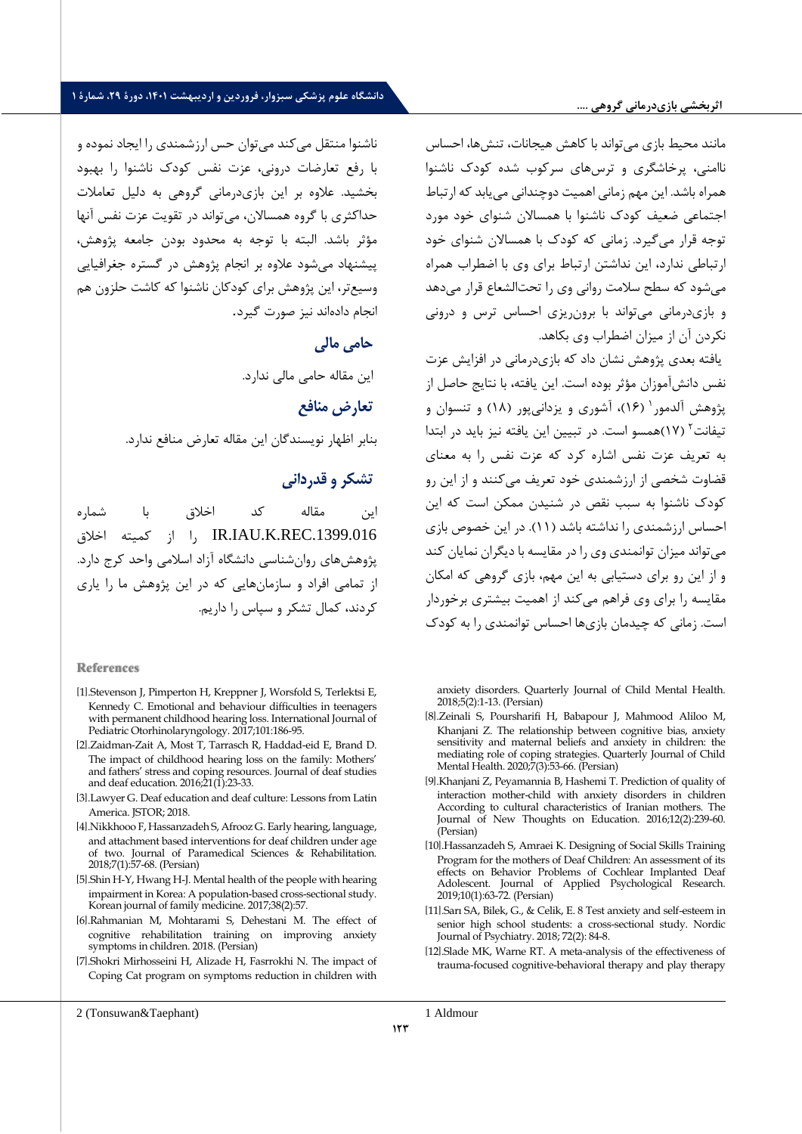#### **اثربخشی بازیدرمانی گرلهی ....**

# دانشگاه علوم پزشکی سبزوار، فروردین و اردیبهشت **۱۴۰۱، دورهٔ ۲۹، شمارهٔ** ۱

مانند محیط بازی میتواند با کاهش هیجانات، تنشها، احساس ناامنی، پرخاشگری و ترسهای سرکوب شده کودک ناشنوا همراه باشد. این مهم زمانی اهمیت دوچندانی می یابد که ارتباط اجتماعی ضعیف کودک ناشنوا با همساالن شنوای خود مورد توجه قرار میگیرد. زمانی که کودک با همساالن شنوای خود ارتباطی ندارد، این نداشتن ارتباط برای وی با اضطراب همراه می شود که سطح سالمت روانی وی را تحتالشعا قرار می دهد و بازی درمانی میتواند با برون ریزی احساس ترس و درونی نکردن آن از میزان اضطراب وی بکاهد.

یافته بعدی پژوهش نشان داد که بازی درمانی در افزایش عزت نفس دانش آموزان مرثر بوده است. این یافته، با نتایج حاصل از پژوهش آلدمور ۱۶۱)، آشوری و یزدانیپور (۱۸) و تنسوان و تیفانت<sup>۲</sup> (۱۷)همسو است. در تبیین این یافته نیز باید در ابتدا به تعریف عزت نفس اشاره کرد که عزت نفس را به معنای قضاوت شخصی از ارزشمندی خود تعریف میکنند و از این رو کودک ناشنوا به سبب نقص در شنیدن ممکن است که این احساس ارزشمندی را نداشته باشد )11(. در این خصوص بازی می تواند میزان توانمندی وی را در مقایسه با دیگران نمایان کند و از این رو برای دستیابی به این مهم، بازی گروهی که امکان مقایسه را برای وی فراهم میکند از اهمیت بیشتری برخوردار است. زمانی که چیدمان بازی ها احساس توانمندی را به کودک

anxiety disorders. Quarterly Journal of Child Mental Health. 2018;5(2):1-13. (Persian)

- [8].Zeinali S, Poursharifi H, Babapour J, Mahmood Aliloo M, Khanjani Z. The relationship between cognitive bias, anxiety sensitivity and maternal beliefs and anxiety in children: the mediating role of coping strategies. Quarterly Journal of Child Mental Health. 2020;7(3):53-66. (Persian)
- [9] Khanjani Z, Peyamannia B, Hashemi T. Prediction of quality of interaction mother-child with anxiety disorders in children According to cultural characteristics of Iranian mothers. The Journal of New Thoughts on Education. 2016;12(2):239-60. (Persian)
- [10] Hassanzadeh S, Amraei K. Designing of Social Skills Training Program for the mothers of Deaf Children: An assessment of its effects on Behavior Problems of Cochlear Implanted Deaf Adolescent. Journal of Applied Psychological Research. 2019;10(1):63-72. (Persian)
- [11] Sarı SA, Bilek, G., & Celik, E. 8 Test anxiety and self-esteem in senior high school students: a cross-sectional study. Nordic Journal of Psychiatry. 2018; 72(2): 84-8.
- [12] Slade MK, Warne RT. A meta-analysis of the effectiveness of trauma-focused cognitive-behavioral therapy and play therapy

ناشنوا منتقل می کند می توان حس ارزشمندی را ایجاد نموده و با رفع تعارضات درونی، عزت نفس کودک ناشنوا را بهبود بخشید. عالوه بر این بازی درمانی گروهی به دلیل تعامالت حداکثری با گروه همساالن، میتواند در تقویت عزت نفس آنها مرثر باشد. البته با توجه به محدود بودن جامعه پژوهش، پیشنهاد می شود عالوه بر انجام پژوهش در گستره جغرافیایی وسیع تر، این پژوهش برای کودکان ناشنوا که کاشت حلزون هم انجام دادهاند نیز صورت گیرد.

حامی مالی

این مقاله حامی مالی ندارد.

#### **تعارض منافع**

بنابر اظهار نویسندگان این مقاله تعارض منافع ندارد.

# **تشکر و قدردانی**

این مقاله کد اخالق با شماره l, IR.IAU.K.REC.1399.016 را از کمیته اخلاق پژوهشهای روانشناسی دانشگاه آزاد اسالمی واحد کرج دارد. از تمامی افراد و سازمان هایی که در این پژوهش ما را یاری کردند، کمال تشکر و سپاس را داریم.

#### **References**

- ]1 [.Stevenson J, Pimperton H, Kreppner J, Worsfold S, Terlektsi E, Kennedy C. Emotional and behaviour difficulties in teenagers with permanent childhood hearing loss. International Journal of Pediatric Otorhinolaryngology. 2017;101:186-95.
- [2] Zaidman-Zait A, Most T, Tarrasch R, Haddad-eid E, Brand D. The impact of childhood hearing loss on the family: Mothers' and fathers' stress and coping resources. Journal of deaf studies and deaf education. 2016;21(1):23-33.
- [3].Lawyer G. Deaf education and deaf culture: Lessons from Latin America. JSTOR; 2018.
- [4] Nikkhooo F, Hassanzadeh S, Afrooz G. Early hearing, language, and attachment based interventions for deaf children under age of two. Journal of Paramedical Sciences & Rehabilitation. 2018;7(1):57-68. (Persian)
- [5] Shin H-Y, Hwang H-J. Mental health of the people with hearing impairment in Korea: A population-based cross-sectional study. Korean journal of family medicine. 2017;38(2):57.
- [6].Rahmanian M, Mohtarami S, Dehestani M. The effect of cognitive rehabilitation training on improving anxiety symptoms in children. 2018. (Persian)
- [7] Shokri Mirhosseini H, Alizade H, Fasrrokhi N. The impact of Coping Cat program on symptoms reduction in children with

2 (Tonsuwan&Taephant)

**177** 1 Aldmour